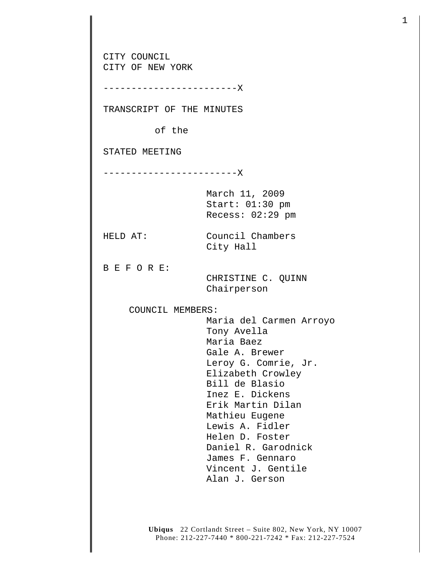CITY COUNCIL CITY OF NEW YORK ------------------------X TRANSCRIPT OF THE MINUTES of the STATED MEETING ------------------------X March 11, 2009 Start: 01:30 pm Recess: 02:29 pm HELD AT: Council Chambers City Hall B E F O R E: CHRISTINE C. QUINN Chairperson COUNCIL MEMBERS: Maria del Carmen Arroyo Tony Avella Maria Baez Gale A. Brewer Leroy G. Comrie, Jr. Elizabeth Crowley Bill de Blasio Inez E. Dickens Erik Martin Dilan Mathieu Eugene Lewis A. Fidler Helen D. Foster Daniel R. Garodnick James F. Gennaro Vincent J. Gentile Alan J. Gerson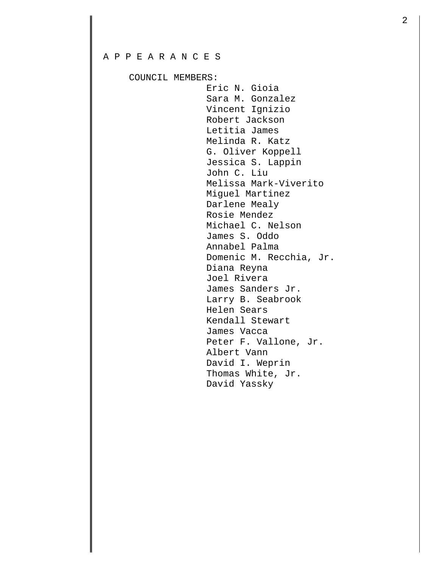## A P P E A R A N C E S

COUNCIL MEMBERS:

 Eric N. Gioia Sara M. Gonzalez Vincent Ignizio Robert Jackson Letitia James Melinda R. Katz G. Oliver Koppell Jessica S. Lappin John C. Liu Melissa Mark-Viverito Miguel Martinez Darlene Mealy Rosie Mendez Michael C. Nelson James S. Oddo Annabel Palma Domenic M. Recchia, Jr. Diana Reyna Joel Rivera James Sanders Jr. Larry B. Seabrook Helen Sears Kendall Stewart James Vacca Peter F. Vallone, Jr. Albert Vann David I. Weprin Thomas White, Jr. David Yassky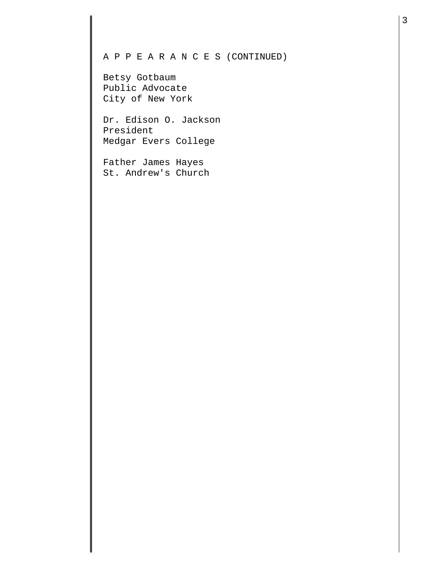## A P P E A R A N C E S (CONTINUED)

Betsy Gotbaum Public Advocate City of New York

Dr. Edison O. Jackson President Medgar Evers College

Father James Hayes St. Andrew's Church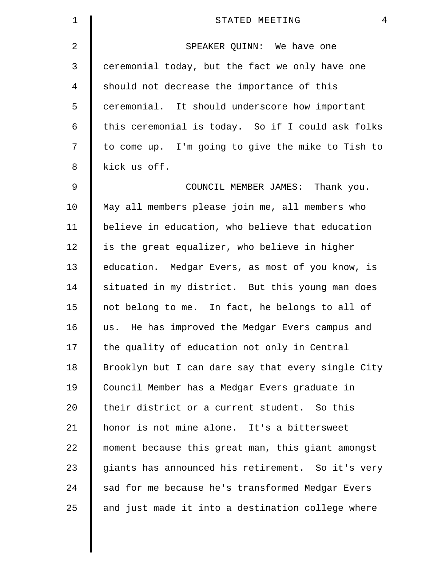| 1  | $\overline{4}$<br>STATED MEETING                   |
|----|----------------------------------------------------|
| 2  | SPEAKER QUINN: We have one                         |
| 3  | ceremonial today, but the fact we only have one    |
| 4  | should not decrease the importance of this         |
| 5  | ceremonial. It should underscore how important     |
| 6  | this ceremonial is today. So if I could ask folks  |
| 7  | to come up. I'm going to give the mike to Tish to  |
| 8  | kick us off.                                       |
| 9  | COUNCIL MEMBER JAMES: Thank you.                   |
| 10 | May all members please join me, all members who    |
| 11 | believe in education, who believe that education   |
| 12 | is the great equalizer, who believe in higher      |
| 13 | education. Medgar Evers, as most of you know, is   |
| 14 | situated in my district. But this young man does   |
| 15 | not belong to me. In fact, he belongs to all of    |
| 16 | us. He has improved the Medgar Evers campus and    |
| 17 | the quality of education not only in Central       |
| 18 | Brooklyn but I can dare say that every single City |
| 19 | Council Member has a Medgar Evers graduate in      |
| 20 | their district or a current student. So this       |
| 21 | honor is not mine alone. It's a bittersweet        |
| 22 | moment because this great man, this giant amongst  |
| 23 | giants has announced his retirement. So it's very  |
| 24 | sad for me because he's transformed Medgar Evers   |
| 25 | and just made it into a destination college where  |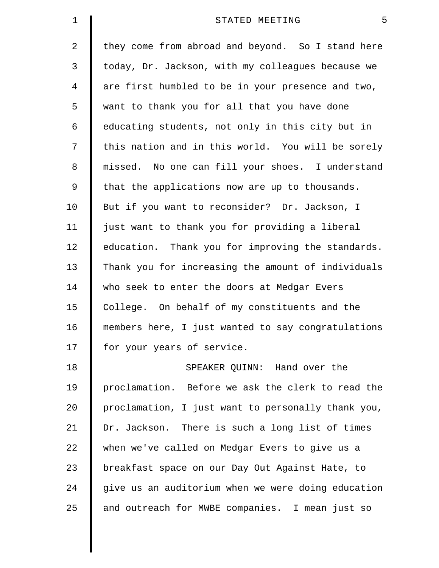| $\mathbf 1$    | 5<br>STATED MEETING                                |
|----------------|----------------------------------------------------|
| $\overline{2}$ | they come from abroad and beyond. So I stand here  |
| 3              | today, Dr. Jackson, with my colleagues because we  |
| 4              | are first humbled to be in your presence and two,  |
| 5              | want to thank you for all that you have done       |
| 6              | educating students, not only in this city but in   |
| 7              | this nation and in this world. You will be sorely  |
| 8              | missed. No one can fill your shoes. I understand   |
| 9              | that the applications now are up to thousands.     |
| 10             | But if you want to reconsider? Dr. Jackson, I      |
| 11             | just want to thank you for providing a liberal     |
| 12             | education. Thank you for improving the standards.  |
| 13             | Thank you for increasing the amount of individuals |
| 14             | who seek to enter the doors at Medgar Evers        |
| 15             | College. On behalf of my constituents and the      |
| 16             | members here, I just wanted to say congratulations |
| 17             | for your years of service.                         |
| 18             | SPEAKER QUINN: Hand over the                       |
| 19             | proclamation. Before we ask the clerk to read the  |
| 20             | proclamation, I just want to personally thank you, |
| 21             | Dr. Jackson. There is such a long list of times    |
| 22             | when we've called on Medgar Evers to give us a     |
| 23             | breakfast space on our Day Out Against Hate, to    |
| 24             | give us an auditorium when we were doing education |
| 25             | and outreach for MWBE companies. I mean just so    |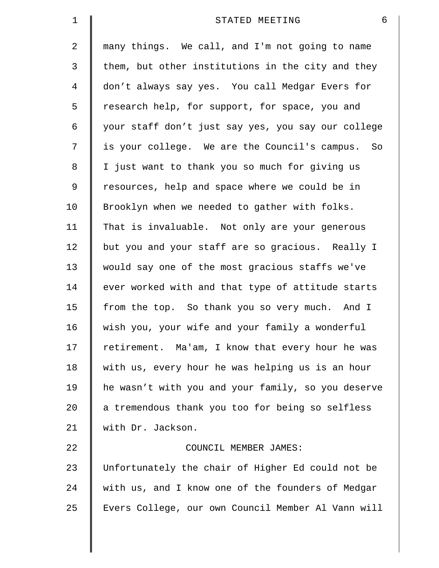| $\mathbf 1$    | 6<br>STATED MEETING                                |
|----------------|----------------------------------------------------|
| $\overline{2}$ | many things. We call, and I'm not going to name    |
| 3              | them, but other institutions in the city and they  |
| 4              | don't always say yes. You call Medgar Evers for    |
| 5              | research help, for support, for space, you and     |
| 6              | your staff don't just say yes, you say our college |
| 7              | is your college. We are the Council's campus. So   |
| 8              | I just want to thank you so much for giving us     |
| $\mathsf 9$    | resources, help and space where we could be in     |
| 10             | Brooklyn when we needed to gather with folks.      |
| 11             | That is invaluable. Not only are your generous     |
| 12             | but you and your staff are so gracious. Really I   |
| 13             | would say one of the most gracious staffs we've    |
| 14             | ever worked with and that type of attitude starts  |
| 15             | from the top. So thank you so very much. And I     |
| 16             | wish you, your wife and your family a wonderful    |
| 17             | retirement. Ma'am, I know that every hour he was   |
| 18             | with us, every hour he was helping us is an hour   |
| 19             | he wasn't with you and your family, so you deserve |
| 20             | a tremendous thank you too for being so selfless   |
| 21             | with Dr. Jackson.                                  |
| 22             | COUNCIL MEMBER JAMES:                              |
| 23             | Unfortunately the chair of Higher Ed could not be  |
| 24             | with us, and I know one of the founders of Medgar  |
| 25             | Evers College, our own Council Member Al Vann will |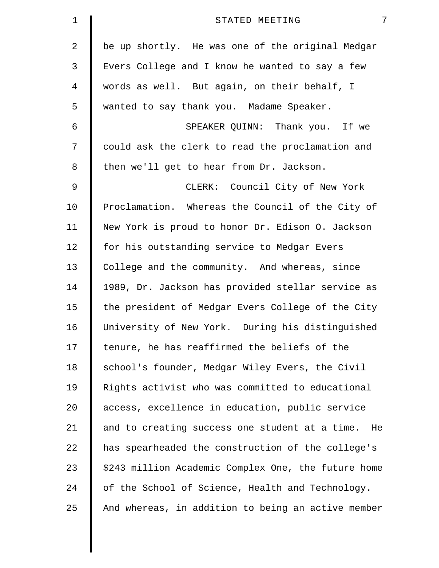| $\mathbf 1$ | 7<br>STATED MEETING                                 |
|-------------|-----------------------------------------------------|
| 2           | be up shortly. He was one of the original Medgar    |
| 3           | Evers College and I know he wanted to say a few     |
| 4           | words as well. But again, on their behalf, I        |
| 5           | wanted to say thank you. Madame Speaker.            |
| 6           | SPEAKER QUINN: Thank you. If we                     |
| 7           | could ask the clerk to read the proclamation and    |
| 8           | then we'll get to hear from Dr. Jackson.            |
| $\mathsf 9$ | CLERK: Council City of New York                     |
| 10          | Proclamation. Whereas the Council of the City of    |
| 11          | New York is proud to honor Dr. Edison O. Jackson    |
| 12          | for his outstanding service to Medgar Evers         |
| 13          | College and the community. And whereas, since       |
| 14          | 1989, Dr. Jackson has provided stellar service as   |
| 15          | the president of Medgar Evers College of the City   |
| 16          | University of New York. During his distinguished    |
| 17          | tenure, he has reaffirmed the beliefs of the        |
| 18          | school's founder, Medgar Wiley Evers, the Civil     |
| 19          | Rights activist who was committed to educational    |
| $20 \,$     | access, excellence in education, public service     |
| 21          | and to creating success one student at a time. He   |
| 22          | has spearheaded the construction of the college's   |
| 23          | \$243 million Academic Complex One, the future home |
| 24          | of the School of Science, Health and Technology.    |
| 25          | And whereas, in addition to being an active member  |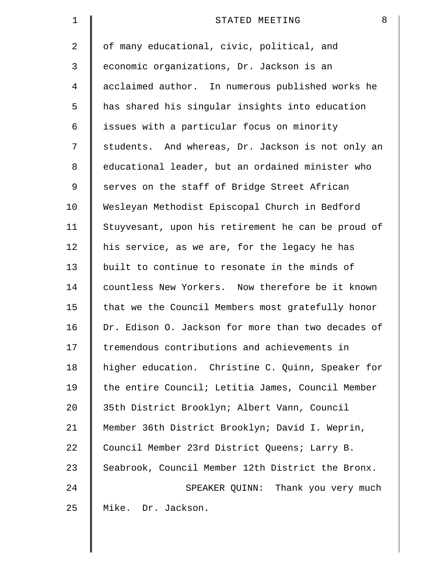| $\mathbf 1$    | 8<br>STATED MEETING                                |
|----------------|----------------------------------------------------|
| $\overline{2}$ | of many educational, civic, political, and         |
| 3              | economic organizations, Dr. Jackson is an          |
| 4              | acclaimed author. In numerous published works he   |
| 5              | has shared his singular insights into education    |
| 6              | issues with a particular focus on minority         |
| 7              | students. And whereas, Dr. Jackson is not only an  |
| 8              | educational leader, but an ordained minister who   |
| 9              | serves on the staff of Bridge Street African       |
| 10             | Wesleyan Methodist Episcopal Church in Bedford     |
| 11             | Stuyvesant, upon his retirement he can be proud of |
| 12             | his service, as we are, for the legacy he has      |
| 13             | built to continue to resonate in the minds of      |
| 14             | countless New Yorkers. Now therefore be it known   |
| 15             | that we the Council Members most gratefully honor  |
| 16             | Dr. Edison O. Jackson for more than two decades of |
| 17             | tremendous contributions and achievements in       |
| 18             | higher education. Christine C. Quinn, Speaker for  |
| 19             | the entire Council; Letitia James, Council Member  |
| 20             | 35th District Brooklyn; Albert Vann, Council       |
| 21             | Member 36th District Brooklyn; David I. Weprin,    |
| 22             | Council Member 23rd District Queens; Larry B.      |
| 23             | Seabrook, Council Member 12th District the Bronx.  |
| 24             | SPEAKER QUINN: Thank you very much                 |
| 25             | Mike. Dr. Jackson.                                 |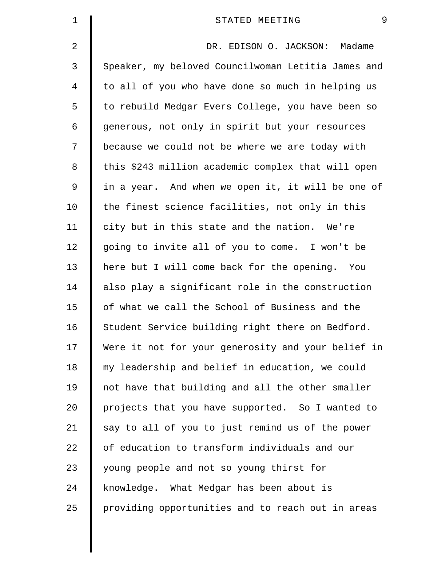| $\mathbf 1$ | 9<br>STATED MEETING                                |
|-------------|----------------------------------------------------|
| 2           | DR. EDISON O. JACKSON: Madame                      |
| 3           | Speaker, my beloved Councilwoman Letitia James and |
| 4           | to all of you who have done so much in helping us  |
| 5           | to rebuild Medgar Evers College, you have been so  |
| 6           | generous, not only in spirit but your resources    |
| 7           | because we could not be where we are today with    |
| 8           | this \$243 million academic complex that will open |
| 9           | in a year. And when we open it, it will be one of  |
| 10          | the finest science facilities, not only in this    |
| 11          | city but in this state and the nation. We're       |
| 12          | going to invite all of you to come. I won't be     |
| 13          | here but I will come back for the opening. You     |
| 14          | also play a significant role in the construction   |
| 15          | of what we call the School of Business and the     |
| 16          | Student Service building right there on Bedford.   |
| 17          | Were it not for your generosity and your belief in |
| 18          | my leadership and belief in education, we could    |
| 19          | not have that building and all the other smaller   |
| 20          | projects that you have supported. So I wanted to   |
| 21          | say to all of you to just remind us of the power   |
| 22          | of education to transform individuals and our      |
| 23          | young people and not so young thirst for           |
| 24          | knowledge. What Medgar has been about is           |
| 25          | providing opportunities and to reach out in areas  |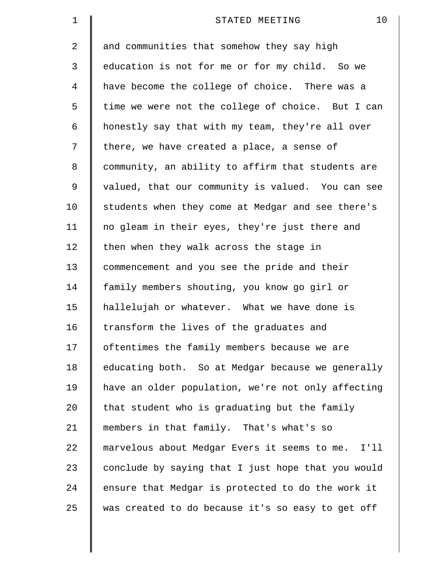| 1  | 10<br>STATED MEETING                               |
|----|----------------------------------------------------|
| 2  | and communities that somehow they say high         |
| 3  | education is not for me or for my child. So we     |
| 4  | have become the college of choice. There was a     |
| 5  | time we were not the college of choice. But I can  |
| 6  | honestly say that with my team, they're all over   |
| 7  | there, we have created a place, a sense of         |
| 8  | community, an ability to affirm that students are  |
| 9  | valued, that our community is valued. You can see  |
| 10 | students when they come at Medgar and see there's  |
| 11 | no gleam in their eyes, they're just there and     |
| 12 | then when they walk across the stage in            |
| 13 | commencement and you see the pride and their       |
| 14 | family members shouting, you know go girl or       |
| 15 | hallelujah or whatever. What we have done is       |
| 16 | transform the lives of the graduates and           |
| 17 | oftentimes the family members because we are       |
| 18 | educating both. So at Medgar because we generally  |
| 19 | have an older population, we're not only affecting |
| 20 | that student who is graduating but the family      |
| 21 | members in that family. That's what's so           |
| 22 | marvelous about Medgar Evers it seems to me. I'll  |
| 23 | conclude by saying that I just hope that you would |
| 24 | ensure that Medgar is protected to do the work it  |
| 25 | was created to do because it's so easy to get off  |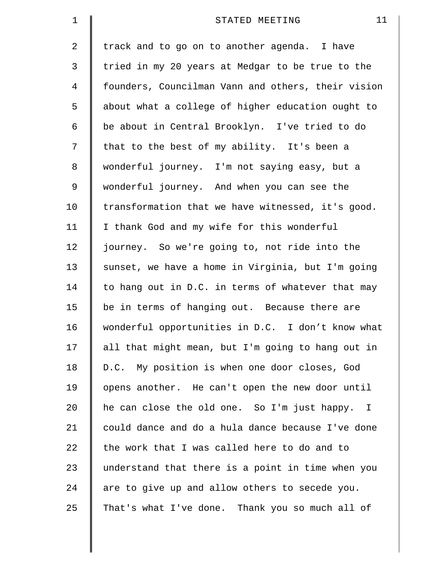| 1  | 11<br>STATED MEETING                               |
|----|----------------------------------------------------|
| 2  | track and to go on to another agenda. I have       |
| 3  | tried in my 20 years at Medgar to be true to the   |
| 4  | founders, Councilman Vann and others, their vision |
| 5  | about what a college of higher education ought to  |
| 6  | be about in Central Brooklyn. I've tried to do     |
| 7  | that to the best of my ability. It's been a        |
| 8  | wonderful journey. I'm not saying easy, but a      |
| 9  | wonderful journey. And when you can see the        |
| 10 | transformation that we have witnessed, it's good.  |
| 11 | I thank God and my wife for this wonderful         |
| 12 | journey. So we're going to, not ride into the      |
| 13 | sunset, we have a home in Virginia, but I'm going  |
| 14 | to hang out in D.C. in terms of whatever that may  |
| 15 | be in terms of hanging out. Because there are      |
| 16 | wonderful opportunities in D.C. I don't know what  |
| 17 | all that might mean, but I'm going to hang out in  |
| 18 | D.C. My position is when one door closes, God      |
| 19 | opens another. He can't open the new door until    |
| 20 | he can close the old one. So I'm just happy. I     |
| 21 | could dance and do a hula dance because I've done  |
| 22 | the work that I was called here to do and to       |
| 23 | understand that there is a point in time when you  |
| 24 | are to give up and allow others to secede you.     |
| 25 | That's what I've done. Thank you so much all of    |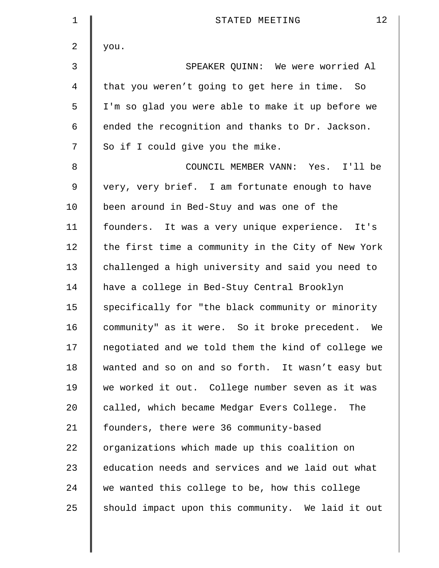| $\mathbf 1$ | 12<br>STATED MEETING                               |  |  |  |  |  |
|-------------|----------------------------------------------------|--|--|--|--|--|
| 2           | you.                                               |  |  |  |  |  |
| 3           | SPEAKER QUINN: We were worried Al                  |  |  |  |  |  |
| 4           | that you weren't going to get here in time. So     |  |  |  |  |  |
| 5           | I'm so glad you were able to make it up before we  |  |  |  |  |  |
| 6           | ended the recognition and thanks to Dr. Jackson.   |  |  |  |  |  |
| 7           | So if I could give you the mike.                   |  |  |  |  |  |
| 8           | COUNCIL MEMBER VANN: Yes. I'll be                  |  |  |  |  |  |
| 9           | very, very brief. I am fortunate enough to have    |  |  |  |  |  |
| 10          | been around in Bed-Stuy and was one of the         |  |  |  |  |  |
| 11          | founders. It was a very unique experience. It's    |  |  |  |  |  |
| 12          | the first time a community in the City of New York |  |  |  |  |  |
| 13          | challenged a high university and said you need to  |  |  |  |  |  |
| 14          | have a college in Bed-Stuy Central Brooklyn        |  |  |  |  |  |
| 15          | specifically for "the black community or minority  |  |  |  |  |  |
| 16          | community" as it were. So it broke precedent. We   |  |  |  |  |  |
| 17          | negotiated and we told them the kind of college we |  |  |  |  |  |
| 18          | wanted and so on and so forth. It wasn't easy but  |  |  |  |  |  |
| 19          | we worked it out. College number seven as it was   |  |  |  |  |  |
| 20          | called, which became Medgar Evers College. The     |  |  |  |  |  |
| 21          | founders, there were 36 community-based            |  |  |  |  |  |
| 22          | organizations which made up this coalition on      |  |  |  |  |  |
| 23          | education needs and services and we laid out what  |  |  |  |  |  |
| 24          | we wanted this college to be, how this college     |  |  |  |  |  |
| 25          | should impact upon this community. We laid it out  |  |  |  |  |  |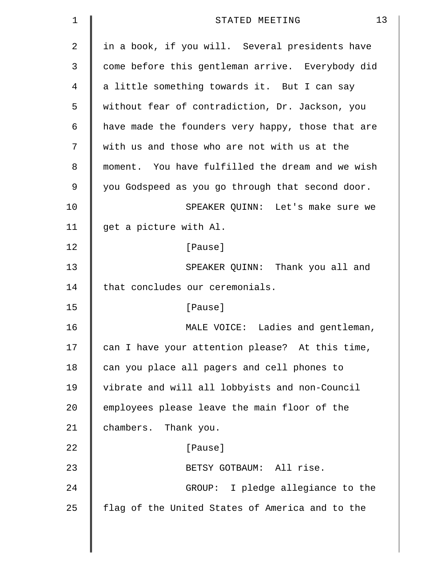| $\mathbf 1$ | 13<br>STATED MEETING                              |
|-------------|---------------------------------------------------|
| 2           | in a book, if you will. Several presidents have   |
| 3           | come before this gentleman arrive. Everybody did  |
| 4           | a little something towards it. But I can say      |
| 5           | without fear of contradiction, Dr. Jackson, you   |
| 6           | have made the founders very happy, those that are |
| 7           | with us and those who are not with us at the      |
| 8           | moment. You have fulfilled the dream and we wish  |
| 9           | you Godspeed as you go through that second door.  |
| 10          | SPEAKER QUINN: Let's make sure we                 |
| 11          | get a picture with Al.                            |
| 12          | [Pause]                                           |
| 13          | SPEAKER QUINN: Thank you all and                  |
| 14          | that concludes our ceremonials.                   |
| 15          | [Pause]                                           |
| 16          | MALE VOICE: Ladies and gentleman,                 |
| 17          | can I have your attention please? At this time,   |
| 18          | can you place all pagers and cell phones to       |
| 19          | vibrate and will all lobbyists and non-Council    |
| 20          | employees please leave the main floor of the      |
| 21          | chambers. Thank you.                              |
| 22          | [Pause]                                           |
| 23          | BETSY GOTBAUM: All rise.                          |
| 24          | GROUP: I pledge allegiance to the                 |
| 25          | flag of the United States of America and to the   |
|             |                                                   |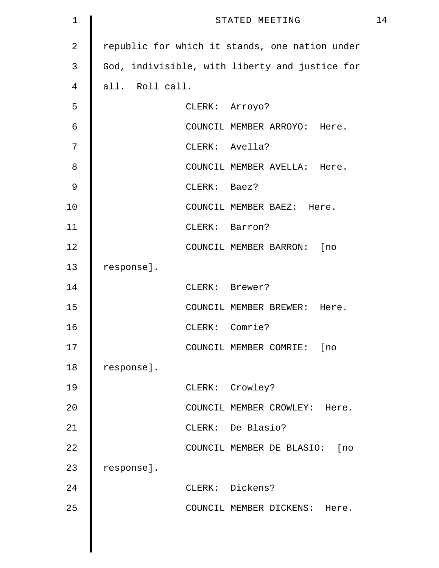| $\mathbf 1$    | STATED MEETING  |                                                |  |
|----------------|-----------------|------------------------------------------------|--|
| $\overline{2}$ |                 | republic for which it stands, one nation under |  |
| 3              |                 | God, indivisible, with liberty and justice for |  |
| 4              | all. Roll call. |                                                |  |
| 5              |                 | CLERK: Arroyo?                                 |  |
| 6              |                 | COUNCIL MEMBER ARROYO: Here.                   |  |
| 7              |                 | CLERK: Avella?                                 |  |
| 8              |                 | COUNCIL MEMBER AVELLA: Here.                   |  |
| $\mathsf 9$    | CLERK: Baez?    |                                                |  |
| 10             |                 | COUNCIL MEMBER BAEZ: Here.                     |  |
| 11             |                 | CLERK: Barron?                                 |  |
| 12             |                 | COUNCIL MEMBER BARRON: [no                     |  |
| 13             | response].      |                                                |  |
| 14             |                 | CLERK: Brewer?                                 |  |
| 15             |                 | COUNCIL MEMBER BREWER: Here.                   |  |
| 16             |                 | CLERK: Comrie?                                 |  |
| 17             |                 | COUNCIL MEMBER COMRIE: [no                     |  |
| 18             | response].      |                                                |  |
| 19             |                 | CLERK: Crowley?                                |  |
| 20             |                 | COUNCIL MEMBER CROWLEY: Here.                  |  |
| 21             |                 | CLERK: De Blasio?                              |  |
| 22             |                 | COUNCIL MEMBER DE BLASIO: [no                  |  |
| 23             | response].      |                                                |  |
| 24             |                 | CLERK: Dickens?                                |  |
| 25             |                 | COUNCIL MEMBER DICKENS: Here.                  |  |
|                |                 |                                                |  |
|                |                 |                                                |  |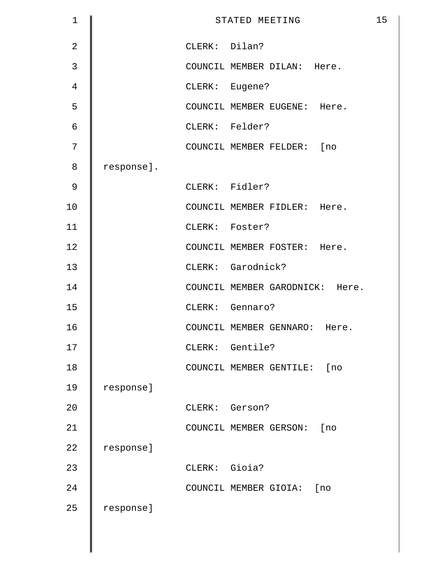| $\mathbf 1$    |            |                | STATED MEETING                  | 15 |
|----------------|------------|----------------|---------------------------------|----|
| $\overline{2}$ |            | CLERK: Dilan?  |                                 |    |
| 3              |            |                | COUNCIL MEMBER DILAN: Here.     |    |
| $\overline{4}$ |            | CLERK: Eugene? |                                 |    |
| 5              |            |                | COUNCIL MEMBER EUGENE: Here.    |    |
| $\epsilon$     |            |                | CLERK: Felder?                  |    |
| 7              |            |                | COUNCIL MEMBER FELDER: [no      |    |
| 8              | response]. |                |                                 |    |
| 9              |            |                | CLERK: Fidler?                  |    |
| 10             |            |                | COUNCIL MEMBER FIDLER: Here.    |    |
| 11             |            |                | CLERK: Foster?                  |    |
| 12             |            |                | COUNCIL MEMBER FOSTER: Here.    |    |
| 13             |            |                | CLERK: Garodnick?               |    |
| 14             |            |                | COUNCIL MEMBER GARODNICK: Here. |    |
| 15             |            |                | CLERK: Gennaro?                 |    |
| 16             |            |                | COUNCIL MEMBER GENNARO: Here.   |    |
| 17             |            |                | CLERK: Gentile?                 |    |
| 18             |            |                | COUNCIL MEMBER GENTILE:<br>[no  |    |
| 19             | response]  |                |                                 |    |
| 20             |            | CLERK: Gerson? |                                 |    |
| 21             |            |                | COUNCIL MEMBER GERSON:<br>[no   |    |
| 22             | response]  |                |                                 |    |
| 23             |            | CLERK: Gioia?  |                                 |    |
| 24             |            |                | COUNCIL MEMBER GIOIA:<br>[no    |    |
| 25             | response]  |                |                                 |    |
|                |            |                |                                 |    |
|                |            |                |                                 |    |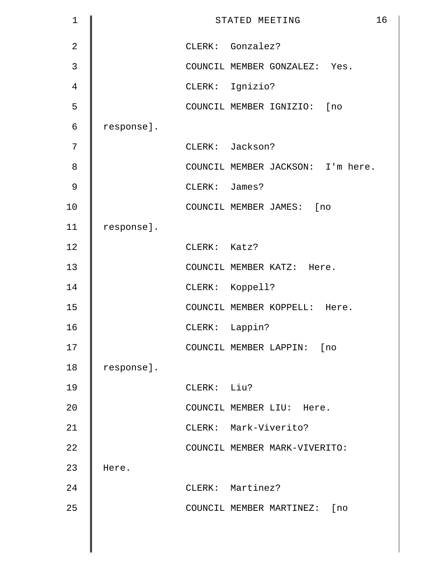| $\mathbf 1$    |            |               | STATED MEETING                    | 16 |
|----------------|------------|---------------|-----------------------------------|----|
| $\overline{2}$ |            |               | CLERK: Gonzalez?                  |    |
| $\mathsf{3}$   |            |               | COUNCIL MEMBER GONZALEZ: Yes.     |    |
| 4              |            |               | CLERK: Ignizio?                   |    |
| 5              |            |               | COUNCIL MEMBER IGNIZIO: [no       |    |
| 6              | response]. |               |                                   |    |
| 7              |            |               | CLERK: Jackson?                   |    |
| 8              |            |               | COUNCIL MEMBER JACKSON: I'm here. |    |
| $\mathsf 9$    |            | CLERK: James? |                                   |    |
| 10             |            |               | COUNCIL MEMBER JAMES: [no         |    |
| 11             | response]. |               |                                   |    |
| 12             |            | CLERK: Katz?  |                                   |    |
| 13             |            |               | COUNCIL MEMBER KATZ: Here.        |    |
| 14             |            |               | CLERK: Koppell?                   |    |
| 15             |            |               | COUNCIL MEMBER KOPPELL: Here.     |    |
| 16             |            |               | CLERK: Lappin?                    |    |
| 17             |            |               | COUNCIL MEMBER LAPPIN: [no        |    |
| 18             | response]. |               |                                   |    |
| 19             |            | CLERK: Liu?   |                                   |    |
| 20             |            |               | COUNCIL MEMBER LIU: Here.         |    |
| 21             |            |               | CLERK: Mark-Viverito?             |    |
| 22             |            |               | COUNCIL MEMBER MARK-VIVERITO:     |    |
| 23             | Here.      |               |                                   |    |
| 24             |            |               | CLERK: Martinez?                  |    |
| 25             |            |               | COUNCIL MEMBER MARTINEZ: [no      |    |
|                |            |               |                                   |    |
|                |            |               |                                   |    |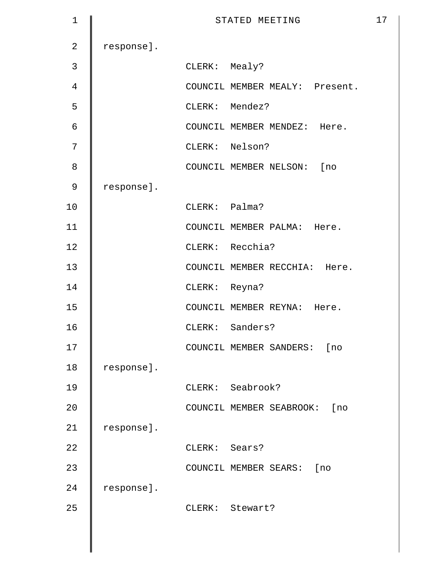| 1              |            | STATED MEETING                  | 17 |
|----------------|------------|---------------------------------|----|
| $\overline{2}$ | response]. |                                 |    |
| 3              |            | CLERK: Mealy?                   |    |
| $\overline{4}$ |            | COUNCIL MEMBER MEALY: Present.  |    |
| 5              |            | CLERK: Mendez?                  |    |
| $\epsilon$     |            | COUNCIL MEMBER MENDEZ: Here.    |    |
| 7              |            | CLERK: Nelson?                  |    |
| 8              |            | COUNCIL MEMBER NELSON: [no      |    |
| 9              | response]. |                                 |    |
| 10             |            | CLERK: Palma?                   |    |
| 11             |            | COUNCIL MEMBER PALMA: Here.     |    |
| 12             |            | CLERK: Recchia?                 |    |
| 13             |            | COUNCIL MEMBER RECCHIA: Here.   |    |
| 14             |            | CLERK: Reyna?                   |    |
| 15             |            | COUNCIL MEMBER REYNA: Here.     |    |
| 16             |            | CLERK: Sanders?                 |    |
| 17             |            | COUNCIL MEMBER SANDERS: [no     |    |
| 18             | response]. |                                 |    |
| 19             |            | CLERK: Seabrook?                |    |
| 20             |            | COUNCIL MEMBER SEABROOK:<br>[no |    |
| 21             | response]. |                                 |    |
| 22             |            | CLERK: Sears?                   |    |
| 23             |            | COUNCIL MEMBER SEARS:<br>[no    |    |
| 24             | response]. |                                 |    |
| 25             |            | CLERK: Stewart?                 |    |
|                |            |                                 |    |
|                |            |                                 |    |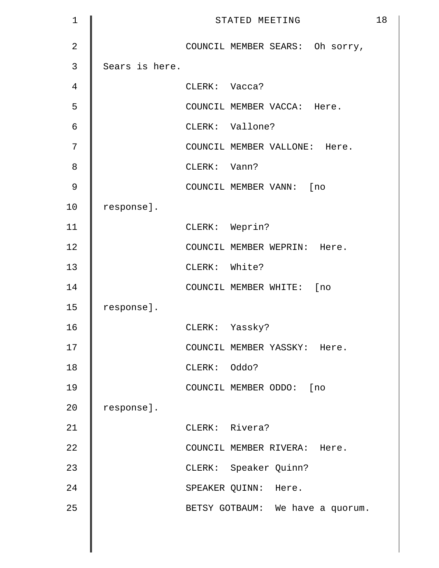| $\mathbf 1$    |                |                | STATED MEETING                   | 18 |
|----------------|----------------|----------------|----------------------------------|----|
| $\overline{2}$ |                |                | COUNCIL MEMBER SEARS: Oh sorry,  |    |
| 3              | Sears is here. |                |                                  |    |
| $\overline{4}$ |                | CLERK: Vacca?  |                                  |    |
| 5              |                |                | COUNCIL MEMBER VACCA: Here.      |    |
| 6              |                |                | CLERK: Vallone?                  |    |
| 7              |                |                | COUNCIL MEMBER VALLONE: Here.    |    |
| 8              |                | CLERK: Vann?   |                                  |    |
| 9              |                |                | COUNCIL MEMBER VANN: [no         |    |
| 10             | response].     |                |                                  |    |
| 11             |                | CLERK: Weprin? |                                  |    |
| 12             |                |                | COUNCIL MEMBER WEPRIN: Here.     |    |
| 13             |                | CLERK: White?  |                                  |    |
| 14             |                |                | COUNCIL MEMBER WHITE: [no        |    |
| 15             | response].     |                |                                  |    |
| 16             |                | CLERK: Yassky? |                                  |    |
| 17             |                |                | COUNCIL MEMBER YASSKY: Here.     |    |
| 18             |                | CLERK: Oddo?   |                                  |    |
| 19             |                |                | COUNCIL MEMBER ODDO: [no         |    |
| 20             | response].     |                |                                  |    |
| 21             |                | CLERK: Rivera? |                                  |    |
| 22             |                |                | COUNCIL MEMBER RIVERA: Here.     |    |
| 23             |                |                | CLERK: Speaker Quinn?            |    |
| 24             |                |                | SPEAKER QUINN: Here.             |    |
| 25             |                |                | BETSY GOTBAUM: We have a quorum. |    |
|                |                |                |                                  |    |
|                |                |                |                                  |    |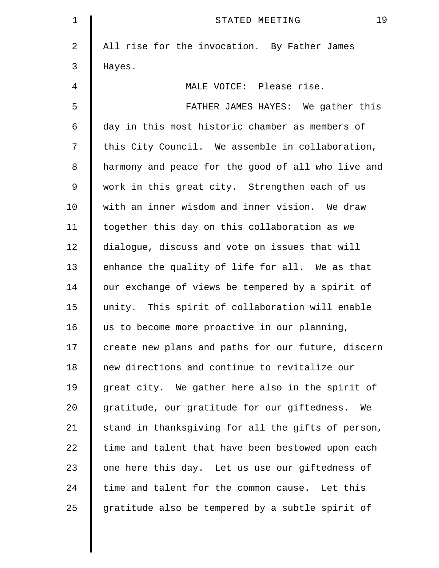| 1  | 19<br>STATED MEETING                               |
|----|----------------------------------------------------|
| 2  | All rise for the invocation. By Father James       |
| 3  | Hayes.                                             |
| 4  | MALE VOICE: Please rise.                           |
| 5  | FATHER JAMES HAYES: We gather this                 |
| 6  | day in this most historic chamber as members of    |
| 7  | this City Council. We assemble in collaboration,   |
| 8  | harmony and peace for the good of all who live and |
| 9  | work in this great city. Strengthen each of us     |
| 10 | with an inner wisdom and inner vision. We draw     |
| 11 | together this day on this collaboration as we      |
| 12 | dialogue, discuss and vote on issues that will     |
| 13 | enhance the quality of life for all. We as that    |
| 14 | our exchange of views be tempered by a spirit of   |
| 15 | unity. This spirit of collaboration will enable    |
| 16 | us to become more proactive in our planning,       |
| 17 | create new plans and paths for our future, discern |
| 18 | new directions and continue to revitalize our      |
| 19 | great city. We gather here also in the spirit of   |
| 20 | gratitude, our gratitude for our giftedness. We    |
| 21 | stand in thanksgiving for all the gifts of person, |
| 22 | time and talent that have been bestowed upon each  |
| 23 | one here this day. Let us use our giftedness of    |
| 24 | time and talent for the common cause. Let this     |
| 25 | gratitude also be tempered by a subtle spirit of   |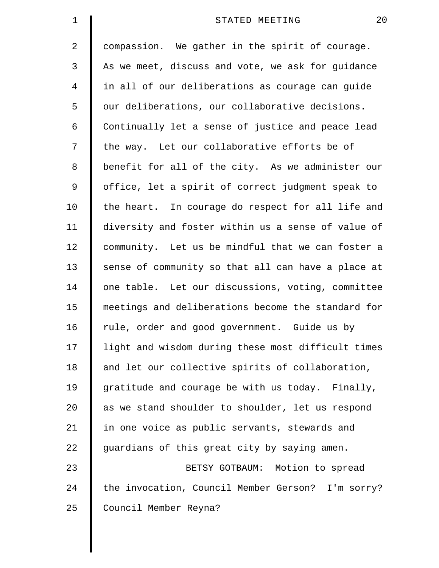| $\mathbf 1$    | 20<br>STATED MEETING                               |
|----------------|----------------------------------------------------|
| 2              | compassion. We gather in the spirit of courage.    |
| 3              | As we meet, discuss and vote, we ask for guidance  |
| $\overline{4}$ | in all of our deliberations as courage can guide   |
| 5              | our deliberations, our collaborative decisions.    |
| 6              | Continually let a sense of justice and peace lead  |
| 7              | the way. Let our collaborative efforts be of       |
| 8              | benefit for all of the city. As we administer our  |
| 9              | office, let a spirit of correct judgment speak to  |
| 10             | the heart. In courage do respect for all life and  |
| 11             | diversity and foster within us a sense of value of |
| 12             | community. Let us be mindful that we can foster a  |
| 13             | sense of community so that all can have a place at |
| 14             | one table. Let our discussions, voting, committee  |
| 15             | meetings and deliberations become the standard for |
| 16             | rule, order and good government. Guide us by       |
| 17             | light and wisdom during these most difficult times |
| 18             | and let our collective spirits of collaboration,   |
| 19             | gratitude and courage be with us today. Finally,   |
| 20             | as we stand shoulder to shoulder, let us respond   |
| 21             | in one voice as public servants, stewards and      |
| 22             | guardians of this great city by saying amen.       |
| 23             | BETSY GOTBAUM: Motion to spread                    |
| 24             | the invocation, Council Member Gerson? I'm sorry?  |
| 25             | Council Member Reyna?                              |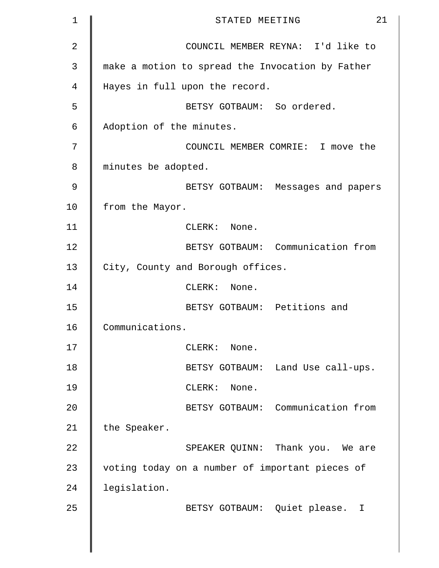| $\mathbf 1$    | 21<br>STATED MEETING                             |
|----------------|--------------------------------------------------|
| $\overline{2}$ | COUNCIL MEMBER REYNA: I'd like to                |
| 3              | make a motion to spread the Invocation by Father |
| 4              | Hayes in full upon the record.                   |
| 5              | BETSY GOTBAUM: So ordered.                       |
| 6              | Adoption of the minutes.                         |
| 7              | COUNCIL MEMBER COMRIE: I move the                |
| 8              | minutes be adopted.                              |
| 9              | BETSY GOTBAUM: Messages and papers               |
| 10             | from the Mayor.                                  |
| 11             | CLERK: None.                                     |
| 12             | BETSY GOTBAUM: Communication from                |
| 13             | City, County and Borough offices.                |
| 14             | CLERK: None.                                     |
| 15             | BETSY GOTBAUM: Petitions and                     |
| 16             | Communications.                                  |
| 17             | CLERK: None.                                     |
| 18             | BETSY GOTBAUM: Land Use call-ups.                |
| 19             | CLERK: None.                                     |
| 20             | BETSY GOTBAUM: Communication from                |
| 21             | the Speaker.                                     |
| 22             | SPEAKER QUINN: Thank you. We are                 |
| 23             | voting today on a number of important pieces of  |
| 24             | legislation.                                     |
| 25             | BETSY GOTBAUM: Quiet please. I                   |
|                |                                                  |
|                |                                                  |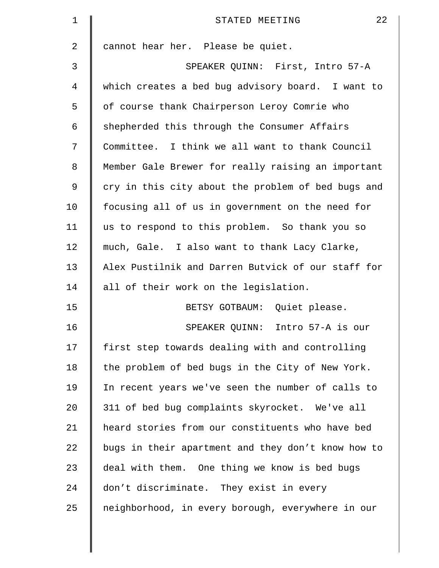| $\mathbf 1$    | 22<br>STATED MEETING                               |
|----------------|----------------------------------------------------|
| $\overline{a}$ | cannot hear her. Please be quiet.                  |
| 3              | SPEAKER QUINN: First, Intro 57-A                   |
| 4              | which creates a bed bug advisory board. I want to  |
| 5              | of course thank Chairperson Leroy Comrie who       |
| 6              | shepherded this through the Consumer Affairs       |
| 7              | Committee. I think we all want to thank Council    |
| 8              | Member Gale Brewer for really raising an important |
| 9              | cry in this city about the problem of bed bugs and |
| 10             | focusing all of us in government on the need for   |
| 11             | us to respond to this problem. So thank you so     |
| 12             | much, Gale. I also want to thank Lacy Clarke,      |
| 13             | Alex Pustilnik and Darren Butvick of our staff for |
| 14             | all of their work on the legislation.              |
| 15             | BETSY GOTBAUM: Quiet please.                       |
| 16             | SPEAKER QUINN: Intro 57-A is our                   |
| 17             | first step towards dealing with and controlling    |
| 18             | the problem of bed bugs in the City of New York.   |
| 19             | In recent years we've seen the number of calls to  |
| 20             | 311 of bed bug complaints skyrocket. We've all     |
| 21             | heard stories from our constituents who have bed   |
| 22             | bugs in their apartment and they don't know how to |
| 23             | deal with them. One thing we know is bed bugs      |
| 24             | don't discriminate. They exist in every            |
| 25             | neighborhood, in every borough, everywhere in our  |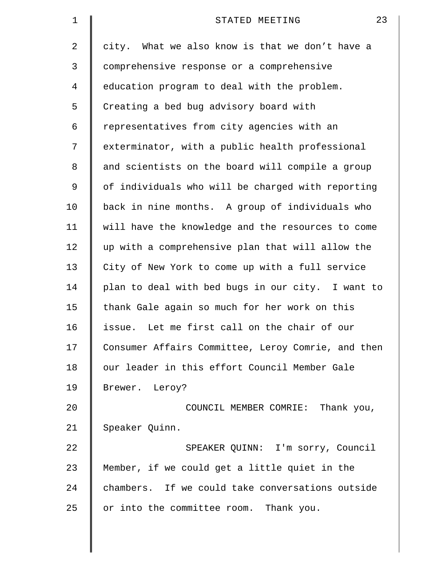| 1  | 23<br>STATED MEETING                               |
|----|----------------------------------------------------|
| 2  | city. What we also know is that we don't have a    |
| 3  | comprehensive response or a comprehensive          |
| 4  | education program to deal with the problem.        |
| 5  | Creating a bed bug advisory board with             |
| 6  | representatives from city agencies with an         |
| 7  | exterminator, with a public health professional    |
| 8  | and scientists on the board will compile a group   |
| 9  | of individuals who will be charged with reporting  |
| 10 | back in nine months. A group of individuals who    |
| 11 | will have the knowledge and the resources to come  |
| 12 | up with a comprehensive plan that will allow the   |
| 13 | City of New York to come up with a full service    |
| 14 | plan to deal with bed bugs in our city. I want to  |
| 15 | thank Gale again so much for her work on this      |
| 16 | issue. Let me first call on the chair of our       |
| 17 | Consumer Affairs Committee, Leroy Comrie, and then |
| 18 | our leader in this effort Council Member Gale      |
| 19 | Brewer. Leroy?                                     |
| 20 | COUNCIL MEMBER COMRIE: Thank you,                  |
| 21 | Speaker Quinn.                                     |
| 22 | SPEAKER QUINN: I'm sorry, Council                  |
| 23 | Member, if we could get a little quiet in the      |
| 24 | chambers. If we could take conversations outside   |
| 25 | or into the committee room. Thank you.             |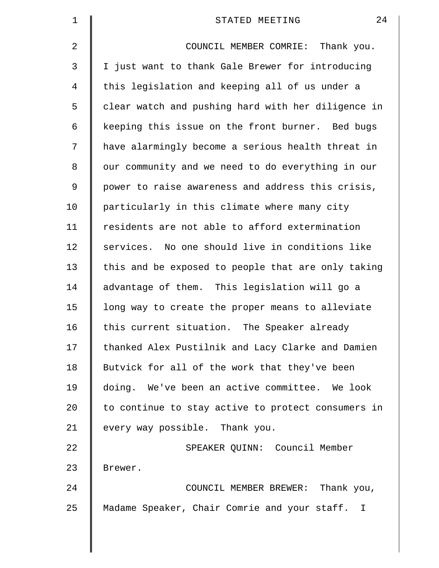| $\mathbf 1$ | 24<br>STATED MEETING                               |
|-------------|----------------------------------------------------|
| 2           | COUNCIL MEMBER COMRIE: Thank you.                  |
| 3           | I just want to thank Gale Brewer for introducing   |
| 4           | this legislation and keeping all of us under a     |
| 5           | clear watch and pushing hard with her diligence in |
| 6           | keeping this issue on the front burner. Bed bugs   |
| 7           | have alarmingly become a serious health threat in  |
| 8           | our community and we need to do everything in our  |
| 9           | power to raise awareness and address this crisis,  |
| 10          | particularly in this climate where many city       |
| 11          | residents are not able to afford extermination     |
| 12          | services. No one should live in conditions like    |
| 13          | this and be exposed to people that are only taking |
| 14          | advantage of them. This legislation will go a      |
| 15          | long way to create the proper means to alleviate   |
| 16          | this current situation. The Speaker already        |
| 17          | thanked Alex Pustilnik and Lacy Clarke and Damien  |
| 18          | Butvick for all of the work that they've been      |
| 19          | doing. We've been an active committee. We look     |
| 20          | to continue to stay active to protect consumers in |
| 21          | every way possible. Thank you.                     |
| 22          | SPEAKER QUINN: Council Member                      |
| 23          | Brewer.                                            |
| 24          | COUNCIL MEMBER BREWER: Thank you,                  |
| 25          | Madame Speaker, Chair Comrie and your staff. I     |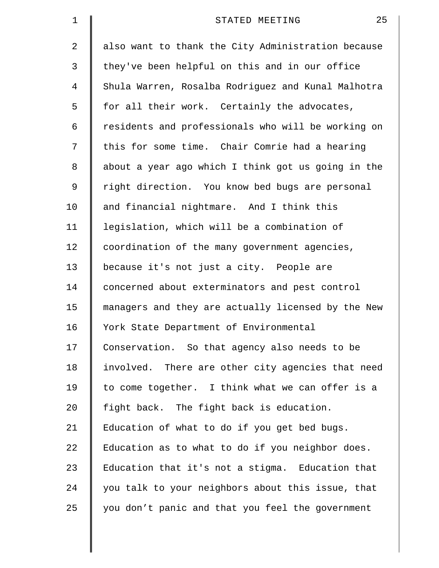| $\mathbf 1$    | 25<br>STATED MEETING                               |
|----------------|----------------------------------------------------|
| 2              | also want to thank the City Administration because |
| 3              | they've been helpful on this and in our office     |
| $\overline{4}$ | Shula Warren, Rosalba Rodriguez and Kunal Malhotra |
| 5              | for all their work. Certainly the advocates,       |
| 6              | residents and professionals who will be working on |
| 7              | this for some time. Chair Comrie had a hearing     |
| 8              | about a year ago which I think got us going in the |
| 9              | right direction. You know bed bugs are personal    |
| 10             | and financial nightmare. And I think this          |
| 11             | legislation, which will be a combination of        |
| 12             | coordination of the many government agencies,      |
| 13             | because it's not just a city. People are           |
| 14             | concerned about exterminators and pest control     |
| 15             | managers and they are actually licensed by the New |
| 16             | York State Department of Environmental             |
| 17             | Conservation. So that agency also needs to be      |
| 18             | involved. There are other city agencies that need  |
| 19             | to come together. I think what we can offer is a   |
| 20             | fight back. The fight back is education.           |
| 21             | Education of what to do if you get bed bugs.       |
| 22             | Education as to what to do if you neighbor does.   |
| 23             | Education that it's not a stigma. Education that   |
| 24             | you talk to your neighbors about this issue, that  |
| 25             | you don't panic and that you feel the government   |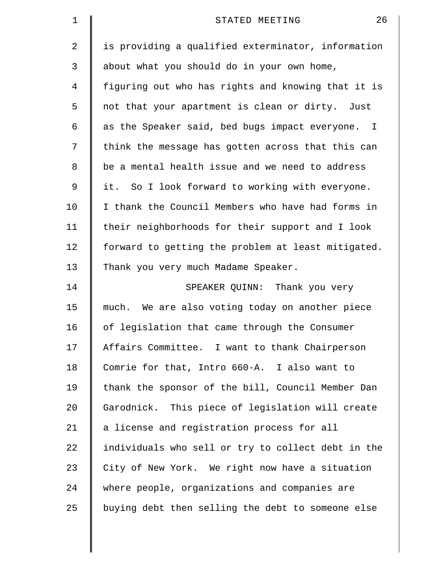| 1  | 26<br>STATED MEETING                               |
|----|----------------------------------------------------|
| 2  | is providing a qualified exterminator, information |
| 3  | about what you should do in your own home,         |
| 4  | figuring out who has rights and knowing that it is |
| 5  | not that your apartment is clean or dirty. Just    |
| 6  | as the Speaker said, bed bugs impact everyone. I   |
| 7  | think the message has gotten across that this can  |
| 8  | be a mental health issue and we need to address    |
| 9  | it. So I look forward to working with everyone.    |
| 10 | I thank the Council Members who have had forms in  |
| 11 | their neighborhoods for their support and I look   |
| 12 | forward to getting the problem at least mitigated. |
| 13 | Thank you very much Madame Speaker.                |
| 14 | SPEAKER QUINN: Thank you very                      |
| 15 | much. We are also voting today on another piece    |
| 16 | of legislation that came through the Consumer      |
| 17 | Affairs Committee. I want to thank Chairperson     |
| 18 | Comrie for that, Intro 660-A. I also want to       |
| 19 | thank the sponsor of the bill, Council Member Dan  |
| 20 | Garodnick. This piece of legislation will create   |
| 21 | a license and registration process for all         |
| 22 | individuals who sell or try to collect debt in the |
| 23 | City of New York. We right now have a situation    |
| 24 | where people, organizations and companies are      |
| 25 | buying debt then selling the debt to someone else  |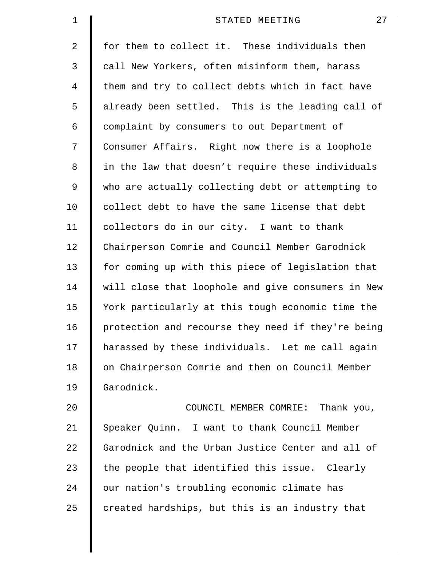| $\mathbf 1$    | 27<br>STATED MEETING                               |
|----------------|----------------------------------------------------|
| $\overline{a}$ | for them to collect it. These individuals then     |
| 3              | call New Yorkers, often misinform them, harass     |
| 4              | them and try to collect debts which in fact have   |
| 5              | already been settled. This is the leading call of  |
| 6              | complaint by consumers to out Department of        |
| 7              | Consumer Affairs. Right now there is a loophole    |
| 8              | in the law that doesn't require these individuals  |
| 9              | who are actually collecting debt or attempting to  |
| 10             | collect debt to have the same license that debt    |
| 11             | collectors do in our city. I want to thank         |
| 12             | Chairperson Comrie and Council Member Garodnick    |
| 13             | for coming up with this piece of legislation that  |
| 14             | will close that loophole and give consumers in New |
| 15             | York particularly at this tough economic time the  |
| 16             | protection and recourse they need if they're being |
| 17             | harassed by these individuals. Let me call again   |
| 18             | on Chairperson Comrie and then on Council Member   |
| 19             | Garodnick.                                         |
| 20             | COUNCIL MEMBER COMRIE: Thank you,                  |
| 21             | Speaker Quinn. I want to thank Council Member      |
| 22             | Garodnick and the Urban Justice Center and all of  |
| 23             | the people that identified this issue. Clearly     |
| 24             | our nation's troubling economic climate has        |
| 25             | created hardships, but this is an industry that    |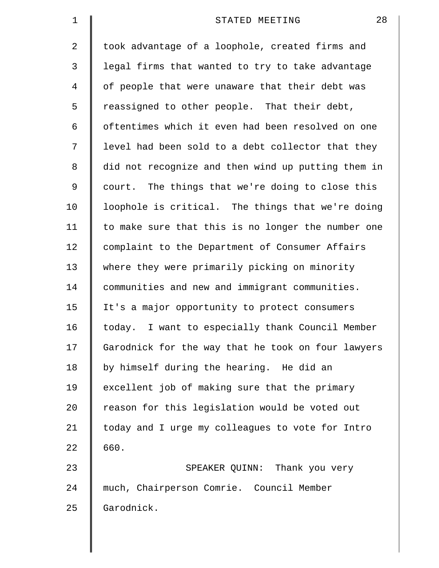| $\mathbf 1$ | 28<br>STATED MEETING                               |
|-------------|----------------------------------------------------|
| 2           | took advantage of a loophole, created firms and    |
| 3           | legal firms that wanted to try to take advantage   |
| 4           | of people that were unaware that their debt was    |
| 5           | reassigned to other people. That their debt,       |
| 6           | oftentimes which it even had been resolved on one  |
| 7           | level had been sold to a debt collector that they  |
| 8           | did not recognize and then wind up putting them in |
| 9           | court. The things that we're doing to close this   |
| 10          | loophole is critical. The things that we're doing  |
| 11          | to make sure that this is no longer the number one |
| 12          | complaint to the Department of Consumer Affairs    |
| 13          | where they were primarily picking on minority      |
| 14          | communities and new and immigrant communities.     |
| 15          | It's a major opportunity to protect consumers      |
| 16          | today. I want to especially thank Council Member   |
| 17          | Garodnick for the way that he took on four lawyers |
| 18          | by himself during the hearing. He did an           |
| 19          | excellent job of making sure that the primary      |
| 20          | reason for this legislation would be voted out     |
| 21          | today and I urge my colleagues to vote for Intro   |
| 22          | 660.                                               |
| 23          | SPEAKER QUINN: Thank you very                      |
| 24          | much, Chairperson Comrie. Council Member           |
| 25          | Garodnick.                                         |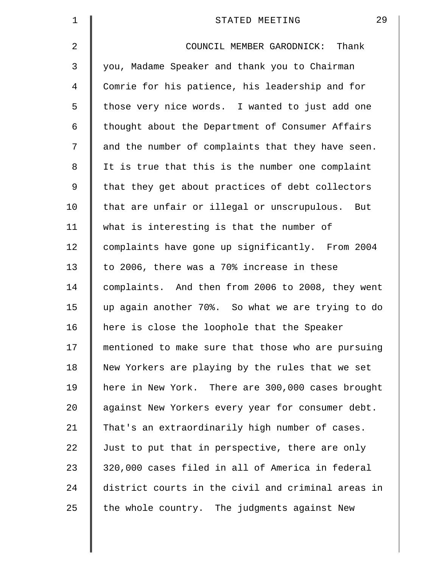| $\mathbf 1$    | 29<br>STATED MEETING                               |
|----------------|----------------------------------------------------|
| 2              | COUNCIL MEMBER GARODNICK: Thank                    |
| 3              | you, Madame Speaker and thank you to Chairman      |
| $\overline{4}$ | Comrie for his patience, his leadership and for    |
| 5              | those very nice words. I wanted to just add one    |
| 6              | thought about the Department of Consumer Affairs   |
| 7              | and the number of complaints that they have seen.  |
| 8              | It is true that this is the number one complaint   |
| 9              | that they get about practices of debt collectors   |
| 10             | that are unfair or illegal or unscrupulous. But    |
| 11             | what is interesting is that the number of          |
| 12             | complaints have gone up significantly. From 2004   |
| 13             | to 2006, there was a 70% increase in these         |
| 14             | complaints. And then from 2006 to 2008, they went  |
| 15             | up again another 70%. So what we are trying to do  |
| 16             | here is close the loophole that the Speaker        |
| 17             | mentioned to make sure that those who are pursuing |
| 18             | New Yorkers are playing by the rules that we set   |
| 19             | here in New York. There are 300,000 cases brought  |
| 20             | against New Yorkers every year for consumer debt.  |
| 21             | That's an extraordinarily high number of cases.    |
| 22             | Just to put that in perspective, there are only    |
| 23             | 320,000 cases filed in all of America in federal   |
| 24             | district courts in the civil and criminal areas in |
| 25             | the whole country. The judgments against New       |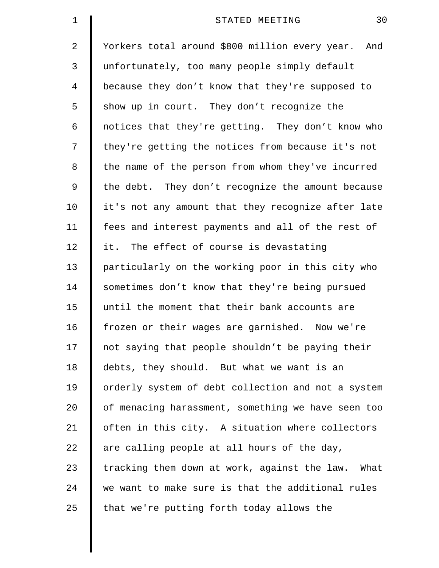| $\mathbf 1$ | 30<br>STATED MEETING                               |
|-------------|----------------------------------------------------|
| 2           | Yorkers total around \$800 million every year. And |
| 3           | unfortunately, too many people simply default      |
| 4           | because they don't know that they're supposed to   |
| 5           | show up in court. They don't recognize the         |
| 6           | notices that they're getting. They don't know who  |
| 7           | they're getting the notices from because it's not  |
| 8           | the name of the person from whom they've incurred  |
| 9           | the debt. They don't recognize the amount because  |
| 10          | it's not any amount that they recognize after late |
| 11          | fees and interest payments and all of the rest of  |
| 12          | it. The effect of course is devastating            |
| 13          | particularly on the working poor in this city who  |
| 14          | sometimes don't know that they're being pursued    |
| 15          | until the moment that their bank accounts are      |
| 16          | frozen or their wages are garnished. Now we're     |
| 17          | not saying that people shouldn't be paying their   |
| 18          | debts, they should. But what we want is an         |
| 19          | orderly system of debt collection and not a system |
| 20          | of menacing harassment, something we have seen too |
| 21          | often in this city. A situation where collectors   |
| 22          | are calling people at all hours of the day,        |
| 23          | tracking them down at work, against the law. What  |
| 24          | we want to make sure is that the additional rules  |
| 25          | that we're putting forth today allows the          |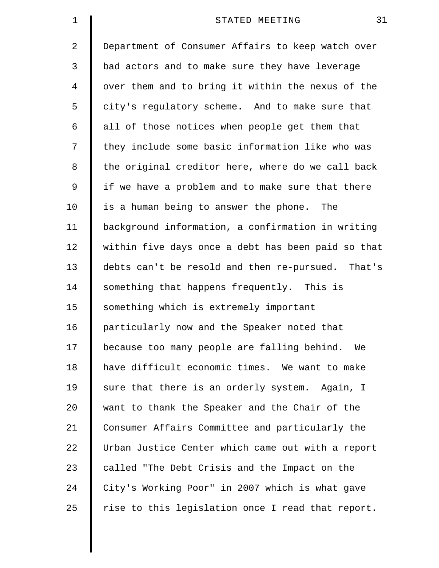| $\mathbf 1$    | 31<br>STATED MEETING                               |
|----------------|----------------------------------------------------|
| $\overline{2}$ | Department of Consumer Affairs to keep watch over  |
| 3              | bad actors and to make sure they have leverage     |
| 4              | over them and to bring it within the nexus of the  |
| 5              | city's regulatory scheme. And to make sure that    |
| 6              | all of those notices when people get them that     |
| 7              | they include some basic information like who was   |
| 8              | the original creditor here, where do we call back  |
| 9              | if we have a problem and to make sure that there   |
| 10             | is a human being to answer the phone. The          |
| 11             | background information, a confirmation in writing  |
| 12             | within five days once a debt has been paid so that |
| 13             | debts can't be resold and then re-pursued. That's  |
| 14             | something that happens frequently. This is         |
| 15             | something which is extremely important             |
| 16             | particularly now and the Speaker noted that        |
| 17             | because too many people are falling behind. We     |
| 18             | have difficult economic times. We want to make     |
| 19             | sure that there is an orderly system. Again, I     |
| 20             | want to thank the Speaker and the Chair of the     |
| 21             | Consumer Affairs Committee and particularly the    |
| 22             | Urban Justice Center which came out with a report  |
| 23             | called "The Debt Crisis and the Impact on the      |
| 24             | City's Working Poor" in 2007 which is what gave    |
| 25             | rise to this legislation once I read that report.  |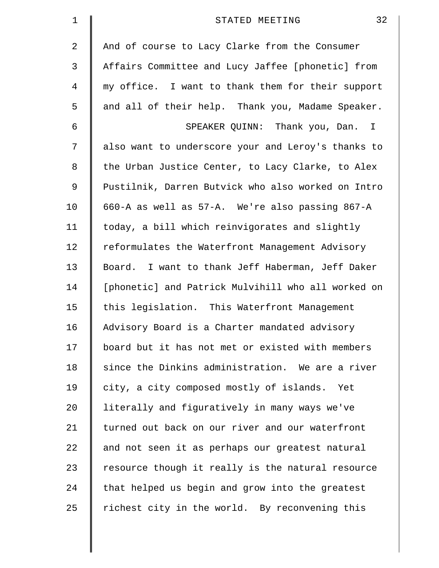| $\mathbf 1$ | 32<br>STATED MEETING                               |
|-------------|----------------------------------------------------|
| 2           | And of course to Lacy Clarke from the Consumer     |
| 3           | Affairs Committee and Lucy Jaffee [phonetic] from  |
| 4           | my office. I want to thank them for their support  |
| 5           | and all of their help. Thank you, Madame Speaker.  |
| 6           | SPEAKER QUINN: Thank you, Dan. I                   |
| 7           | also want to underscore your and Leroy's thanks to |
| 8           | the Urban Justice Center, to Lacy Clarke, to Alex  |
| 9           | Pustilnik, Darren Butvick who also worked on Intro |
| 10          | 660-A as well as 57-A. We're also passing 867-A    |
| 11          | today, a bill which reinvigorates and slightly     |
| 12          | reformulates the Waterfront Management Advisory    |
| 13          | Board. I want to thank Jeff Haberman, Jeff Daker   |
| 14          | [phonetic] and Patrick Mulvihill who all worked on |
| 15          | this legislation. This Waterfront Management       |
| 16          | Advisory Board is a Charter mandated advisory      |
| 17          | board but it has not met or existed with members   |
| 18          | since the Dinkins administration. We are a river   |
| 19          | city, a city composed mostly of islands. Yet       |
| 20          | literally and figuratively in many ways we've      |
| 21          | turned out back on our river and our waterfront    |
| 22          | and not seen it as perhaps our greatest natural    |
| 23          | resource though it really is the natural resource  |
| 24          | that helped us begin and grow into the greatest    |
| 25          | richest city in the world. By reconvening this     |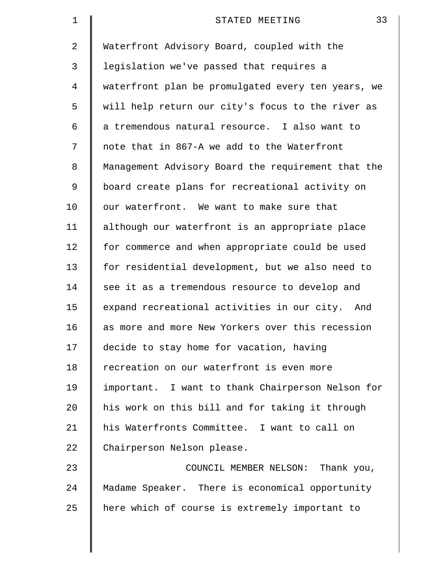| 1              | 33<br>STATED MEETING                               |
|----------------|----------------------------------------------------|
| $\overline{2}$ | Waterfront Advisory Board, coupled with the        |
| 3              | legislation we've passed that requires a           |
| 4              | waterfront plan be promulgated every ten years, we |
| 5              | will help return our city's focus to the river as  |
| 6              | a tremendous natural resource. I also want to      |
| 7              | note that in 867-A we add to the Waterfront        |
| 8              | Management Advisory Board the requirement that the |
| 9              | board create plans for recreational activity on    |
| 10             | our waterfront. We want to make sure that          |
| 11             | although our waterfront is an appropriate place    |
| 12             | for commerce and when appropriate could be used    |
| 13             | for residential development, but we also need to   |
| 14             | see it as a tremendous resource to develop and     |
| 15             | expand recreational activities in our city. And    |
| 16             | as more and more New Yorkers over this recession   |
| 17             | decide to stay home for vacation, having           |
| 18             | recreation on our waterfront is even more          |
| 19             | important. I want to thank Chairperson Nelson for  |
| 20             | his work on this bill and for taking it through    |
| 21             | his Waterfronts Committee. I want to call on       |
| 22             | Chairperson Nelson please.                         |
| 23             | COUNCIL MEMBER NELSON: Thank you,                  |
| 24             | Madame Speaker. There is economical opportunity    |
| 25             | here which of course is extremely important to     |
|                |                                                    |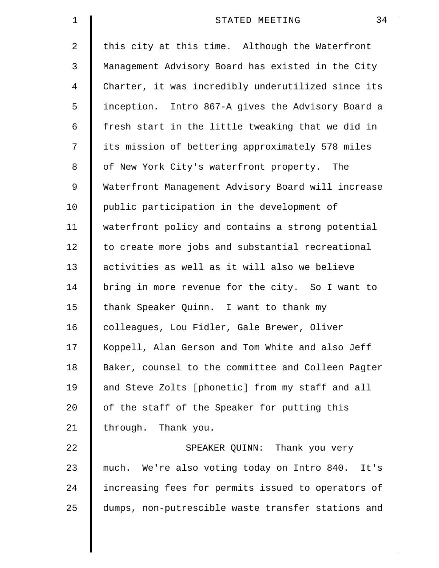| $\mathbf 1$    | 34<br>STATED MEETING                               |
|----------------|----------------------------------------------------|
| $\overline{2}$ | this city at this time. Although the Waterfront    |
| 3              | Management Advisory Board has existed in the City  |
| $\overline{4}$ | Charter, it was incredibly underutilized since its |
| 5              | inception. Intro 867-A gives the Advisory Board a  |
| 6              | fresh start in the little tweaking that we did in  |
| 7              | its mission of bettering approximately 578 miles   |
| 8              | of New York City's waterfront property. The        |
| 9              | Waterfront Management Advisory Board will increase |
| 10             | public participation in the development of         |
| 11             | waterfront policy and contains a strong potential  |
| 12             | to create more jobs and substantial recreational   |
| 13             | activities as well as it will also we believe      |
| 14             | bring in more revenue for the city. So I want to   |
| 15             | thank Speaker Quinn. I want to thank my            |
| 16             | colleagues, Lou Fidler, Gale Brewer, Oliver        |
| 17             | Koppell, Alan Gerson and Tom White and also Jeff   |
| 18             | Baker, counsel to the committee and Colleen Pagter |
| 19             | and Steve Zolts [phonetic] from my staff and all   |
| 20             | of the staff of the Speaker for putting this       |
| 21             | through. Thank you.                                |
| 22             | SPEAKER QUINN: Thank you very                      |
| 23             | much. We're also voting today on Intro 840. It's   |
| 24             | increasing fees for permits issued to operators of |
| 25             | dumps, non-putrescible waste transfer stations and |
|                |                                                    |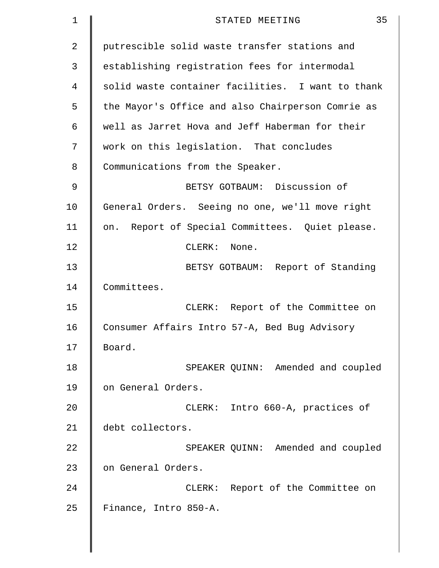| 1  | 35<br>STATED MEETING                              |
|----|---------------------------------------------------|
| 2  | putrescible solid waste transfer stations and     |
| 3  | establishing registration fees for intermodal     |
| 4  | solid waste container facilities. I want to thank |
| 5  | the Mayor's Office and also Chairperson Comrie as |
| 6  | well as Jarret Hova and Jeff Haberman for their   |
| 7  | work on this legislation. That concludes          |
| 8  | Communications from the Speaker.                  |
| 9  | BETSY GOTBAUM: Discussion of                      |
| 10 | General Orders. Seeing no one, we'll move right   |
| 11 | on. Report of Special Committees. Quiet please.   |
| 12 | $CLERK$ :<br>None.                                |
| 13 | BETSY GOTBAUM: Report of Standing                 |
| 14 | Committees.                                       |
| 15 | CLERK: Report of the Committee on                 |
| 16 | Consumer Affairs Intro 57-A, Bed Bug Advisory     |
| 17 | Board.                                            |
| 18 | SPEAKER QUINN: Amended and coupled                |
| 19 | on General Orders.                                |
| 20 | CLERK: Intro 660-A, practices of                  |
| 21 | debt collectors.                                  |
| 22 | SPEAKER QUINN: Amended and coupled                |
| 23 | on General Orders.                                |
| 24 | CLERK: Report of the Committee on                 |
| 25 | Finance, Intro 850-A.                             |
|    |                                                   |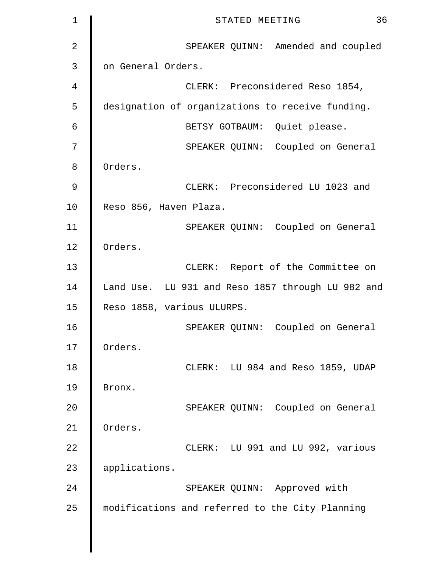| $\mathbf 1$    | 36<br>STATED MEETING                              |
|----------------|---------------------------------------------------|
| $\overline{2}$ | SPEAKER QUINN: Amended and coupled                |
| 3              | on General Orders.                                |
| 4              | CLERK: Preconsidered Reso 1854,                   |
| 5              | designation of organizations to receive funding.  |
| 6              | BETSY GOTBAUM: Quiet please.                      |
| 7              | SPEAKER QUINN: Coupled on General                 |
| 8              | Orders.                                           |
| 9              | CLERK: Preconsidered LU 1023 and                  |
| 10             | Reso 856, Haven Plaza.                            |
| 11             | SPEAKER QUINN: Coupled on General                 |
| 12             | Orders.                                           |
| 13             | CLERK: Report of the Committee on                 |
| 14             | Land Use. LU 931 and Reso 1857 through LU 982 and |
| 15             | Reso 1858, various ULURPS.                        |
| 16             | SPEAKER QUINN: Coupled on General                 |
| 17             | Orders.                                           |
| 18             | CLERK: LU 984 and Reso 1859, UDAP                 |
| 19             | Bronx.                                            |
| 20             | SPEAKER QUINN: Coupled on General                 |
| 21             | Orders.                                           |
| 22             | CLERK: LU 991 and LU 992, various                 |
| 23             | applications.                                     |
| 24             | SPEAKER QUINN: Approved with                      |
| 25             | modifications and referred to the City Planning   |
|                |                                                   |
|                |                                                   |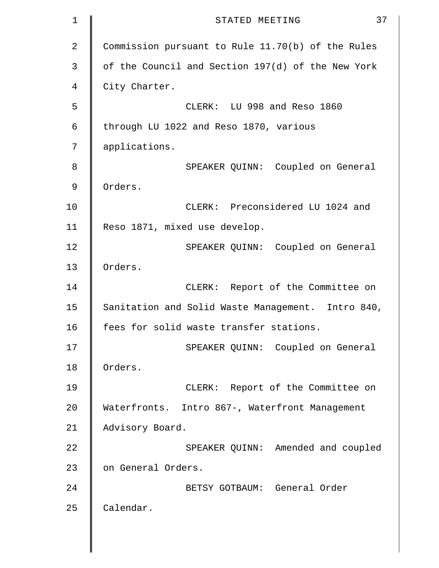```
1 STATED MEETING 37
2 Commission pursuant to Rule 11.70(b) of the Rules
3 | of the Council and Section 197(d) of the New York
4 | City Charter.
5 CLERK: LU 998 and Reso 1860 
6 | through LU 1022 and Reso 1870, various
7 applications. 
8 SPEAKER QUINN: Coupled on General 
9 Orders. 
10 | CLERK: Preconsidered LU 1024 and
11 Reso 1871, mixed use develop. 
12 | SPEAKER QUINN: Coupled on General
13 Orders. 
14 | CLERK: Report of the Committee on
15 | Sanitation and Solid Waste Management. Intro 840,
16 | fees for solid waste transfer stations.
17 | SPEAKER QUINN: Coupled on General
18 Orders. 
19 | CLERK: Report of the Committee on
20 Waterfronts. Intro 867-, Waterfront Management
21 Advisory Board.
22 | SPEAKER QUINN: Amended and coupled
23 | on General Orders.
24 BETSY GOTBAUM: General Order 
25 | Calendar.
```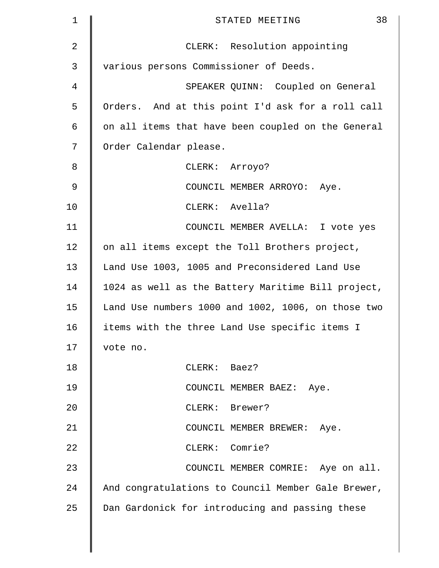| $\mathbf 1$    | 38<br>STATED MEETING                               |
|----------------|----------------------------------------------------|
| $\overline{2}$ | CLERK: Resolution appointing                       |
| 3              | various persons Commissioner of Deeds.             |
| 4              | SPEAKER QUINN: Coupled on General                  |
| 5              | Orders. And at this point I'd ask for a roll call  |
| 6              | on all items that have been coupled on the General |
| 7              | Order Calendar please.                             |
| 8              | CLERK: Arroyo?                                     |
| 9              | COUNCIL MEMBER ARROYO: Aye.                        |
| 10             | CLERK: Avella?                                     |
| 11             | COUNCIL MEMBER AVELLA: I vote yes                  |
| 12             | on all items except the Toll Brothers project,     |
| 13             | Land Use 1003, 1005 and Preconsidered Land Use     |
| 14             | 1024 as well as the Battery Maritime Bill project, |
| 15             | Land Use numbers 1000 and 1002, 1006, on those two |
| 16             | items with the three Land Use specific items I     |
| 17             | vote no.                                           |
| 18             | CLERK: Baez?                                       |
| 19             | COUNCIL MEMBER BAEZ: Aye.                          |
| 20             | CLERK: Brewer?                                     |
| 21             | COUNCIL MEMBER BREWER: Aye.                        |
| 22             | CLERK: Comrie?                                     |
| 23             | COUNCIL MEMBER COMRIE: Aye on all.                 |
| 24             | And congratulations to Council Member Gale Brewer, |
| 25             | Dan Gardonick for introducing and passing these    |
|                |                                                    |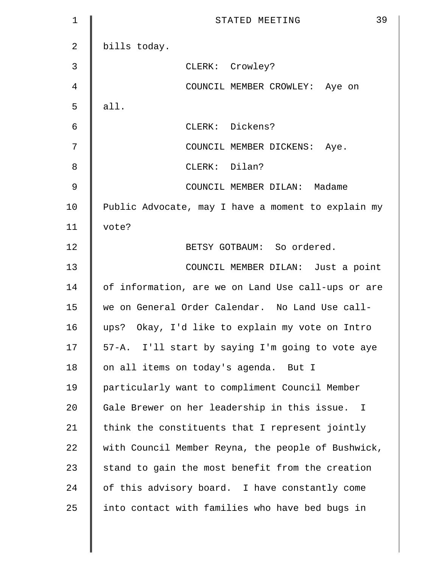| 1             | 39<br>STATED MEETING                               |
|---------------|----------------------------------------------------|
| 2             | bills today.                                       |
| 3             | CLERK: Crowley?                                    |
| 4             | COUNCIL MEMBER CROWLEY: Aye on                     |
| 5             | all.                                               |
| 6             | CLERK: Dickens?                                    |
| 7             | COUNCIL MEMBER DICKENS: Aye.                       |
| 8             | CLERK: Dilan?                                      |
| $\mathcal{G}$ | COUNCIL MEMBER DILAN: Madame                       |
| 10            | Public Advocate, may I have a moment to explain my |
| 11            | vote?                                              |
| 12            | BETSY GOTBAUM: So ordered.                         |
| 13            | COUNCIL MEMBER DILAN: Just a point                 |
| 14            | of information, are we on Land Use call-ups or are |
| 15            | we on General Order Calendar. No Land Use call-    |
| 16            | ups? Okay, I'd like to explain my vote on Intro    |
| 17            | 57-A. I'll start by saying I'm going to vote aye   |
| 18            | on all items on today's agenda. But I              |
| 19            | particularly want to compliment Council Member     |
| 20            | Gale Brewer on her leadership in this issue. I     |
| 21            | think the constituents that I represent jointly    |
| 22            | with Council Member Reyna, the people of Bushwick, |
| 23            | stand to gain the most benefit from the creation   |
| 24            | of this advisory board. I have constantly come     |
| 25            | into contact with families who have bed bugs in    |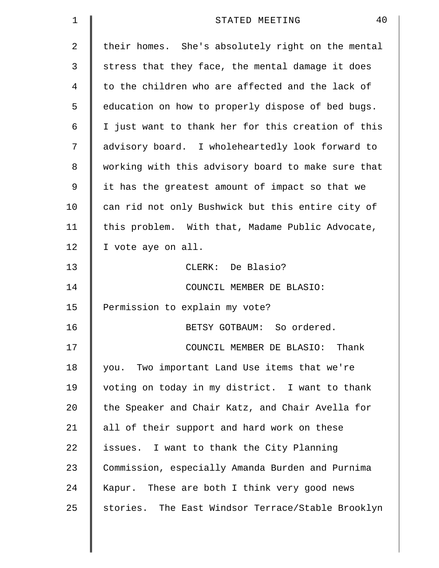| $\mathbf 1$ | 40<br>STATED MEETING                               |
|-------------|----------------------------------------------------|
| 2           | their homes. She's absolutely right on the mental  |
| 3           | stress that they face, the mental damage it does   |
| 4           | to the children who are affected and the lack of   |
| 5           | education on how to properly dispose of bed bugs.  |
| 6           | I just want to thank her for this creation of this |
| 7           | advisory board. I wholeheartedly look forward to   |
| 8           | working with this advisory board to make sure that |
| 9           | it has the greatest amount of impact so that we    |
| 10          | can rid not only Bushwick but this entire city of  |
| 11          | this problem. With that, Madame Public Advocate,   |
| 12          | I vote aye on all.                                 |
| 13          | CLERK: De Blasio?                                  |
| 14          | COUNCIL MEMBER DE BLASIO:                          |
| 15          | Permission to explain my vote?                     |
| 16          | BETSY GOTBAUM: So ordered.                         |
| 17          | COUNCIL MEMBER DE BLASIO: Thank                    |
| 18          | you. Two important Land Use items that we're       |
| 19          | voting on today in my district. I want to thank    |
| 20          | the Speaker and Chair Katz, and Chair Avella for   |
| 21          | all of their support and hard work on these        |
| 22          | issues. I want to thank the City Planning          |
| 23          | Commission, especially Amanda Burden and Purnima   |
| 24          | Kapur. These are both I think very good news       |
| 25          | stories. The East Windsor Terrace/Stable Brooklyn  |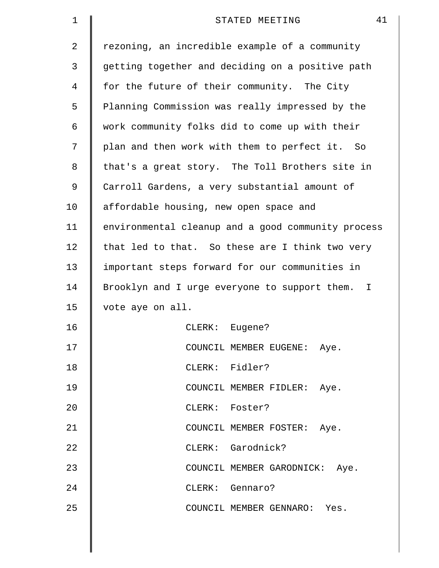| $\mathbf 1$    | 41<br>STATED MEETING                               |
|----------------|----------------------------------------------------|
| $\overline{2}$ | rezoning, an incredible example of a community     |
| 3              | getting together and deciding on a positive path   |
| 4              | for the future of their community. The City        |
| 5              | Planning Commission was really impressed by the    |
| 6              | work community folks did to come up with their     |
| 7              | plan and then work with them to perfect it. So     |
| 8              | that's a great story. The Toll Brothers site in    |
| 9              | Carroll Gardens, a very substantial amount of      |
| 10             | affordable housing, new open space and             |
| 11             | environmental cleanup and a good community process |
| 12             | that led to that. So these are I think two very    |
| 13             | important steps forward for our communities in     |
| 14             | Brooklyn and I urge everyone to support them. I    |
| 15             | vote aye on all.                                   |
| 16             | Eugene?<br>CLERK:                                  |
| 17             | COUNCIL MEMBER EUGENE: Aye.                        |
| 18             | CLERK: Fidler?                                     |
| 19             | COUNCIL MEMBER FIDLER: Aye.                        |
| 20             | CLERK: Foster?                                     |
| 21             | COUNCIL MEMBER FOSTER: Aye.                        |
| 22             | CLERK: Garodnick?                                  |
| 23             | COUNCIL MEMBER GARODNICK: Aye.                     |
| 24             | CLERK: Gennaro?                                    |
| 25             | COUNCIL MEMBER GENNARO: Yes.                       |
|                |                                                    |

 $\parallel$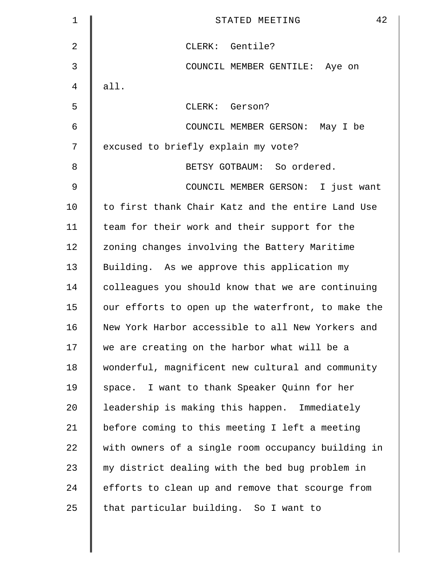| 1              | 42<br>STATED MEETING                               |
|----------------|----------------------------------------------------|
| 2              | CLERK: Gentile?                                    |
| 3              | COUNCIL MEMBER GENTILE: Aye on                     |
| 4              | all.                                               |
| 5              | CLERK: Gerson?                                     |
| 6              | COUNCIL MEMBER GERSON: May I be                    |
| 7              | excused to briefly explain my vote?                |
| 8              | BETSY GOTBAUM: So ordered.                         |
| $\mathfrak{g}$ | COUNCIL MEMBER GERSON: I just want                 |
| 10             | to first thank Chair Katz and the entire Land Use  |
| 11             | team for their work and their support for the      |
| 12             | zoning changes involving the Battery Maritime      |
| 13             | Building. As we approve this application my        |
| 14             | colleagues you should know that we are continuing  |
| 15             | our efforts to open up the waterfront, to make the |
| 16             | New York Harbor accessible to all New Yorkers and  |
| 17             | we are creating on the harbor what will be a       |
| 18             | wonderful, magnificent new cultural and community  |
| 19             | space. I want to thank Speaker Quinn for her       |
| 20             | leadership is making this happen. Immediately      |
| 21             | before coming to this meeting I left a meeting     |
| 22             | with owners of a single room occupancy building in |
| 23             | my district dealing with the bed bug problem in    |
| 24             | efforts to clean up and remove that scourge from   |
| 25             | that particular building. So I want to             |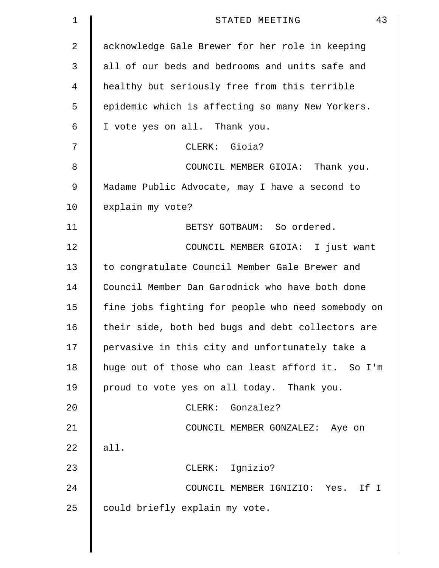| 1  | 43<br>STATED MEETING                               |
|----|----------------------------------------------------|
| 2  | acknowledge Gale Brewer for her role in keeping    |
| 3  | all of our beds and bedrooms and units safe and    |
| 4  | healthy but seriously free from this terrible      |
| 5  | epidemic which is affecting so many New Yorkers.   |
| 6  | I vote yes on all. Thank you.                      |
| 7  | CLERK: Gioia?                                      |
| 8  | COUNCIL MEMBER GIOIA: Thank you.                   |
| 9  | Madame Public Advocate, may I have a second to     |
| 10 | explain my vote?                                   |
| 11 | BETSY GOTBAUM: So ordered.                         |
| 12 | COUNCIL MEMBER GIOIA: I just want                  |
| 13 | to congratulate Council Member Gale Brewer and     |
| 14 | Council Member Dan Garodnick who have both done    |
| 15 | fine jobs fighting for people who need somebody on |
| 16 | their side, both bed bugs and debt collectors are  |
| 17 | pervasive in this city and unfortunately take a    |
| 18 | huge out of those who can least afford it. So I'm  |
| 19 | proud to vote yes on all today. Thank you.         |
| 20 | CLERK: Gonzalez?                                   |
| 21 | COUNCIL MEMBER GONZALEZ: Aye on                    |
| 22 | all.                                               |
| 23 | CLERK: Ignizio?                                    |
| 24 | COUNCIL MEMBER IGNIZIO: Yes.<br>If I               |
| 25 | could briefly explain my vote.                     |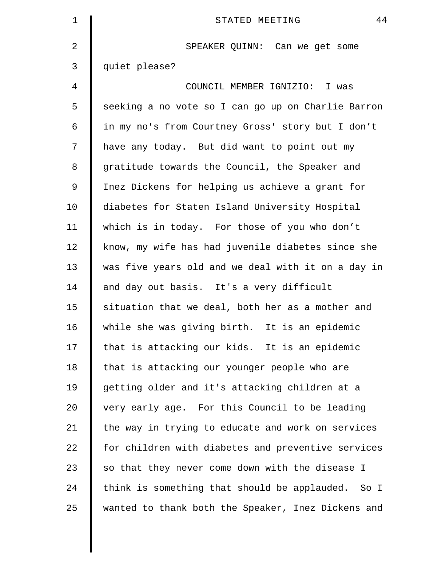| $\mathbf 1$ | 44<br>STATED MEETING                               |
|-------------|----------------------------------------------------|
| 2           | SPEAKER QUINN: Can we get some                     |
| 3           | quiet please?                                      |
| 4           | COUNCIL MEMBER IGNIZIO: I was                      |
| 5           | seeking a no vote so I can go up on Charlie Barron |
| 6           | in my no's from Courtney Gross' story but I don't  |
| 7           | have any today. But did want to point out my       |
| 8           | gratitude towards the Council, the Speaker and     |
| $\mathsf 9$ | Inez Dickens for helping us achieve a grant for    |
| 10          | diabetes for Staten Island University Hospital     |
| 11          | which is in today. For those of you who don't      |
| 12          | know, my wife has had juvenile diabetes since she  |
| 13          | was five years old and we deal with it on a day in |
| 14          | and day out basis. It's a very difficult           |
| 15          | situation that we deal, both her as a mother and   |
| 16          | while she was giving birth. It is an epidemic      |
| 17          | that is attacking our kids. It is an epidemic      |
| 18          | that is attacking our younger people who are       |
| 19          | getting older and it's attacking children at a     |
| 20          | very early age. For this Council to be leading     |
| 21          | the way in trying to educate and work on services  |
| 22          | for children with diabetes and preventive services |
| 23          | so that they never come down with the disease I    |
| 24          | think is something that should be applauded. So I  |
| 25          | wanted to thank both the Speaker, Inez Dickens and |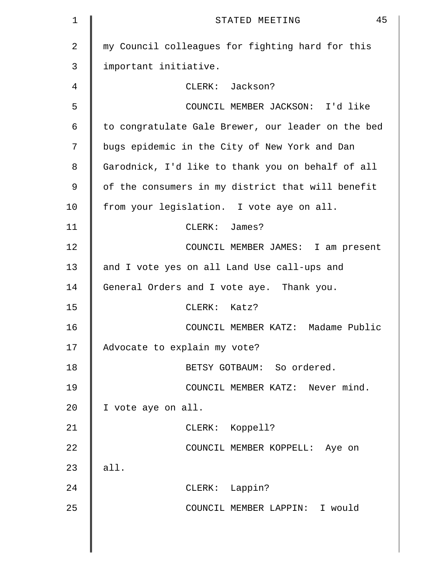| $\mathbf 1$ | 45<br>STATED MEETING                               |
|-------------|----------------------------------------------------|
| 2           | my Council colleagues for fighting hard for this   |
| 3           | important initiative.                              |
| 4           | CLERK: Jackson?                                    |
| 5           | COUNCIL MEMBER JACKSON: I'd like                   |
| 6           | to congratulate Gale Brewer, our leader on the bed |
| 7           | bugs epidemic in the City of New York and Dan      |
| 8           | Garodnick, I'd like to thank you on behalf of all  |
| 9           | of the consumers in my district that will benefit  |
| 10          | from your legislation. I vote aye on all.          |
| 11          | CLERK: James?                                      |
| 12          | COUNCIL MEMBER JAMES: I am present                 |
| 13          | and I vote yes on all Land Use call-ups and        |
| 14          | General Orders and I vote aye. Thank you.          |
| 15          | CLERK: Katz?                                       |
| 16          | COUNCIL MEMBER KATZ: Madame Public                 |
| 17          | Advocate to explain my vote?                       |
| 18          | BETSY GOTBAUM: So ordered.                         |
| 19          | COUNCIL MEMBER KATZ: Never mind.                   |
| 20          | I vote aye on all.                                 |
| 21          | CLERK: Koppell?                                    |
| 22          | COUNCIL MEMBER KOPPELL: Aye on                     |
| 23          | all.                                               |
| 24          | CLERK: Lappin?                                     |
| 25          | COUNCIL MEMBER LAPPIN: I would                     |
|             |                                                    |
|             |                                                    |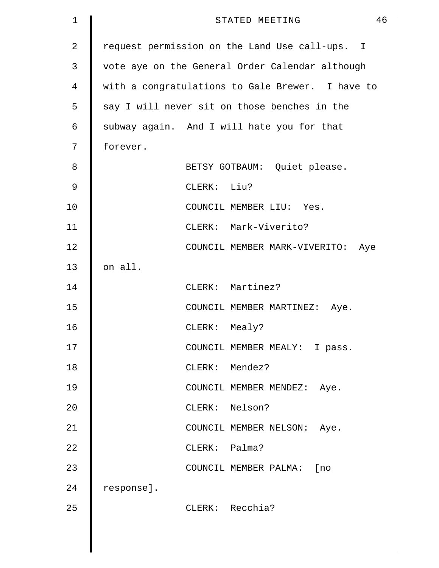| 1              |            |               | STATED MEETING                                   | 46 |
|----------------|------------|---------------|--------------------------------------------------|----|
| $\overline{2}$ |            |               | request permission on the Land Use call-ups. I   |    |
| 3              |            |               | vote aye on the General Order Calendar although  |    |
| 4              |            |               | with a congratulations to Gale Brewer. I have to |    |
| 5              |            |               | say I will never sit on those benches in the     |    |
| 6              |            |               | subway again. And I will hate you for that       |    |
| 7              | forever.   |               |                                                  |    |
| 8              |            |               | BETSY GOTBAUM: Quiet please.                     |    |
| 9              |            | CLERK: Liu?   |                                                  |    |
| 10             |            |               | COUNCIL MEMBER LIU: Yes.                         |    |
| 11             |            |               | CLERK: Mark-Viverito?                            |    |
| 12             |            |               | COUNCIL MEMBER MARK-VIVERITO:<br>Aye             |    |
| 13             | on all.    |               |                                                  |    |
| 14             |            |               | CLERK: Martinez?                                 |    |
| 15             |            |               | COUNCIL MEMBER MARTINEZ: Aye.                    |    |
| 16             |            | $CLERK$ :     | Mealy?                                           |    |
| 17             |            |               | COUNCIL MEMBER MEALY: I pass.                    |    |
| 18             |            |               | CLERK: Mendez?                                   |    |
| 19             |            |               | COUNCIL MEMBER MENDEZ: Aye.                      |    |
| 20             |            |               | CLERK: Nelson?                                   |    |
| 21             |            |               | COUNCIL MEMBER NELSON: Aye.                      |    |
| 22             |            | CLERK: Palma? |                                                  |    |
| 23             |            |               | COUNCIL MEMBER PALMA: [no                        |    |
| 24             | response]. |               |                                                  |    |
| 25             |            |               | CLERK: Recchia?                                  |    |
|                |            |               |                                                  |    |
|                |            |               |                                                  |    |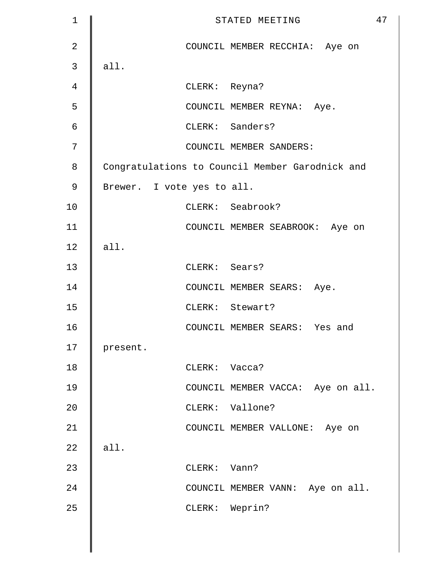| $\mathbf{1}$   | 47<br>STATED MEETING                            |
|----------------|-------------------------------------------------|
| $\overline{2}$ | COUNCIL MEMBER RECCHIA: Aye on                  |
| $\mathfrak{Z}$ | all.                                            |
| $\overline{4}$ | CLERK: Reyna?                                   |
| 5              | COUNCIL MEMBER REYNA: Aye.                      |
| $\epsilon$     | CLERK: Sanders?                                 |
| 7              | COUNCIL MEMBER SANDERS:                         |
| 8              | Congratulations to Council Member Garodnick and |
| $\mathsf 9$    | Brewer. I vote yes to all.                      |
| 10             | CLERK: Seabrook?                                |
| 11             | COUNCIL MEMBER SEABROOK: Aye on                 |
| 12             | all.                                            |
| 13             | CLERK: Sears?                                   |
| 14             | COUNCIL MEMBER SEARS: Aye.                      |
| 15             | CLERK: Stewart?                                 |
| 16             | COUNCIL MEMBER SEARS: Yes and                   |
| 17             | present.                                        |
| 18             | CLERK: Vacca?                                   |
| 19             | COUNCIL MEMBER VACCA: Aye on all.               |
| 20             | CLERK: Vallone?                                 |
| 21             | COUNCIL MEMBER VALLONE: Aye on                  |
| 22             | all.                                            |
| 23             | CLERK: Vann?                                    |
| 24             | COUNCIL MEMBER VANN: Aye on all.                |
| 25             | CLERK: Weprin?                                  |
|                |                                                 |

║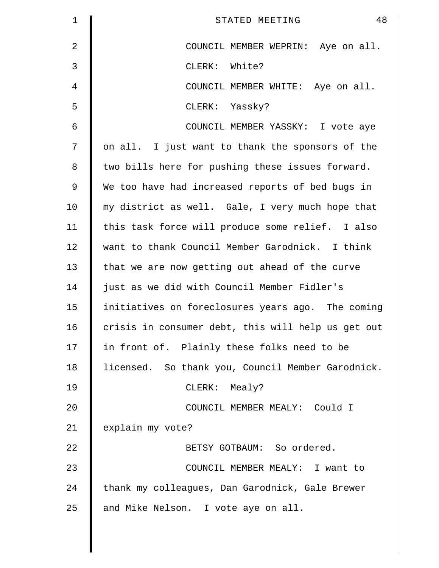| $\mathbf 1$    | 48<br>STATED MEETING                               |
|----------------|----------------------------------------------------|
| $\overline{2}$ | COUNCIL MEMBER WEPRIN: Aye on all.                 |
| 3              | CLERK: White?                                      |
| 4              | COUNCIL MEMBER WHITE: Aye on all.                  |
| 5              | CLERK: Yassky?                                     |
| 6              | COUNCIL MEMBER YASSKY: I vote aye                  |
| 7              | on all. I just want to thank the sponsors of the   |
| 8              | two bills here for pushing these issues forward.   |
| 9              | We too have had increased reports of bed bugs in   |
| 10             | my district as well. Gale, I very much hope that   |
| 11             | this task force will produce some relief. I also   |
| 12             | want to thank Council Member Garodnick. I think    |
| 13             | that we are now getting out ahead of the curve     |
| 14             | just as we did with Council Member Fidler's        |
| 15             | initiatives on foreclosures years ago. The coming  |
| 16             | crisis in consumer debt, this will help us get out |
| 17             | in front of. Plainly these folks need to be        |
| 18             | licensed. So thank you, Council Member Garodnick.  |
| 19             | CLERK: Mealy?                                      |
| 20             | COUNCIL MEMBER MEALY: Could I                      |
| 21             | explain my vote?                                   |
| 22             | BETSY GOTBAUM: So ordered.                         |
| 23             | COUNCIL MEMBER MEALY: I want to                    |
| 24             | thank my colleagues, Dan Garodnick, Gale Brewer    |
| 25             | and Mike Nelson. I vote aye on all.                |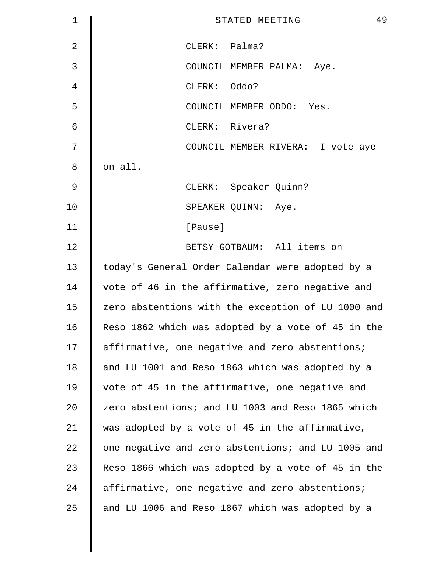| 1              | 49<br>STATED MEETING                               |
|----------------|----------------------------------------------------|
| $\overline{2}$ | CLERK: Palma?                                      |
| 3              | COUNCIL MEMBER PALMA: Aye.                         |
| 4              | CLERK: Oddo?                                       |
| 5              | COUNCIL MEMBER ODDO: Yes.                          |
| 6              | CLERK: Rivera?                                     |
| 7              | COUNCIL MEMBER RIVERA: I vote aye                  |
| 8              | on all.                                            |
| 9              | CLERK: Speaker Quinn?                              |
| 10             | SPEAKER QUINN: Aye.                                |
| 11             | [Pause]                                            |
| 12             | BETSY GOTBAUM: All items on                        |
| 13             | today's General Order Calendar were adopted by a   |
| 14             | vote of 46 in the affirmative, zero negative and   |
| 15             | zero abstentions with the exception of LU 1000 and |
| 16             | Reso 1862 which was adopted by a vote of 45 in the |
| 17             | affirmative, one negative and zero abstentions;    |
| 18             | and LU 1001 and Reso 1863 which was adopted by a   |
| 19             | vote of 45 in the affirmative, one negative and    |
| 20             | zero abstentions; and LU 1003 and Reso 1865 which  |
| 21             | was adopted by a vote of 45 in the affirmative,    |
| 22             | one negative and zero abstentions; and LU 1005 and |
| 23             | Reso 1866 which was adopted by a vote of 45 in the |
| 24             | affirmative, one negative and zero abstentions;    |
| 25             | and LU 1006 and Reso 1867 which was adopted by a   |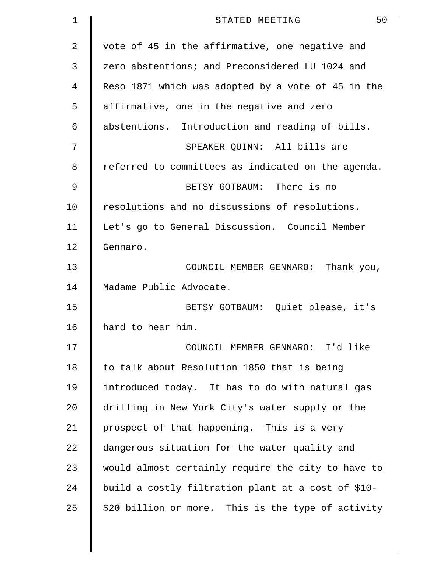| 1  | 50<br>STATED MEETING                               |
|----|----------------------------------------------------|
| 2  | vote of 45 in the affirmative, one negative and    |
| 3  | zero abstentions; and Preconsidered LU 1024 and    |
| 4  | Reso 1871 which was adopted by a vote of 45 in the |
| 5  | affirmative, one in the negative and zero          |
| 6  | abstentions. Introduction and reading of bills.    |
| 7  | SPEAKER QUINN: All bills are                       |
| 8  | referred to committees as indicated on the agenda. |
| 9  | BETSY GOTBAUM: There is no                         |
| 10 | resolutions and no discussions of resolutions.     |
| 11 | Let's go to General Discussion. Council Member     |
| 12 | Gennaro.                                           |
| 13 | COUNCIL MEMBER GENNARO:<br>Thank you,              |
| 14 | Madame Public Advocate.                            |
| 15 | BETSY GOTBAUM: Quiet please, it's                  |
| 16 | hard to hear him.                                  |
| 17 | COUNCIL MEMBER GENNARO: I'd like                   |
| 18 | to talk about Resolution 1850 that is being        |
| 19 | introduced today. It has to do with natural gas    |
| 20 | drilling in New York City's water supply or the    |
| 21 | prospect of that happening. This is a very         |
| 22 | dangerous situation for the water quality and      |
| 23 | would almost certainly require the city to have to |
| 24 | build a costly filtration plant at a cost of \$10- |
| 25 | \$20 billion or more. This is the type of activity |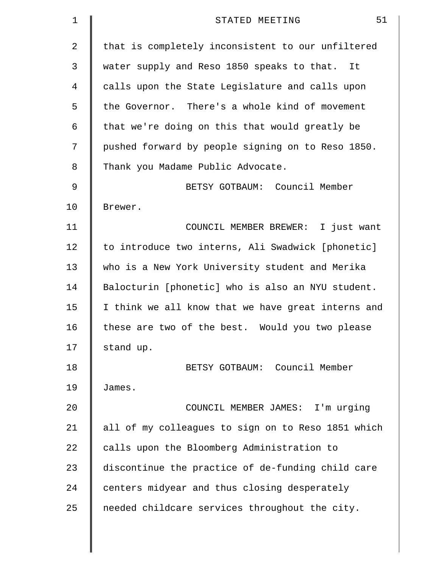| 1  | 51<br>STATED MEETING                               |
|----|----------------------------------------------------|
| 2  | that is completely inconsistent to our unfiltered  |
| 3  | water supply and Reso 1850 speaks to that. It      |
| 4  | calls upon the State Legislature and calls upon    |
| 5  | the Governor. There's a whole kind of movement     |
| 6  | that we're doing on this that would greatly be     |
| 7  | pushed forward by people signing on to Reso 1850.  |
| 8  | Thank you Madame Public Advocate.                  |
| 9  | BETSY GOTBAUM: Council Member                      |
| 10 | Brewer.                                            |
| 11 | COUNCIL MEMBER BREWER: I just want                 |
| 12 | to introduce two interns, Ali Swadwick [phonetic]  |
| 13 | who is a New York University student and Merika    |
| 14 | Balocturin [phonetic] who is also an NYU student.  |
| 15 | I think we all know that we have great interns and |
| 16 | these are two of the best. Would you two please    |
| 17 | stand up.                                          |
| 18 | BETSY GOTBAUM: Council Member                      |
| 19 | James.                                             |
| 20 | COUNCIL MEMBER JAMES: I'm urging                   |
| 21 | all of my colleagues to sign on to Reso 1851 which |
| 22 | calls upon the Bloomberg Administration to         |
| 23 | discontinue the practice of de-funding child care  |
| 24 | centers midyear and thus closing desperately       |
| 25 | needed childcare services throughout the city.     |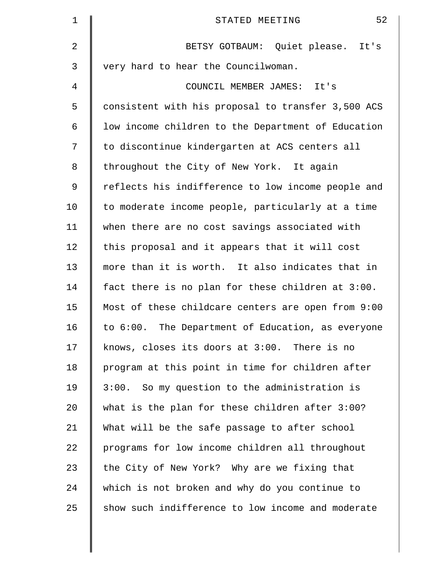| $\mathbf 1$ | 52<br>STATED MEETING                               |
|-------------|----------------------------------------------------|
| 2           | BETSY GOTBAUM: Quiet please. It's                  |
| 3           | very hard to hear the Councilwoman.                |
| 4           | COUNCIL MEMBER JAMES: It's                         |
| 5           | consistent with his proposal to transfer 3,500 ACS |
| 6           | low income children to the Department of Education |
| 7           | to discontinue kindergarten at ACS centers all     |
| 8           | throughout the City of New York. It again          |
| 9           | reflects his indifference to low income people and |
| 10          | to moderate income people, particularly at a time  |
| 11          | when there are no cost savings associated with     |
| 12          | this proposal and it appears that it will cost     |
| 13          | more than it is worth. It also indicates that in   |
| 14          | fact there is no plan for these children at 3:00.  |
| 15          | Most of these childcare centers are open from 9:00 |
| 16          | to 6:00. The Department of Education, as everyone  |
| 17          | knows, closes its doors at 3:00. There is no       |
| 18          | program at this point in time for children after   |
| 19          | 3:00. So my question to the administration is      |
| 20          | what is the plan for these children after 3:00?    |
| 21          | What will be the safe passage to after school      |
| 22          | programs for low income children all throughout    |
| 23          | the City of New York? Why are we fixing that       |
| 24          | which is not broken and why do you continue to     |
| 25          | show such indifference to low income and moderate  |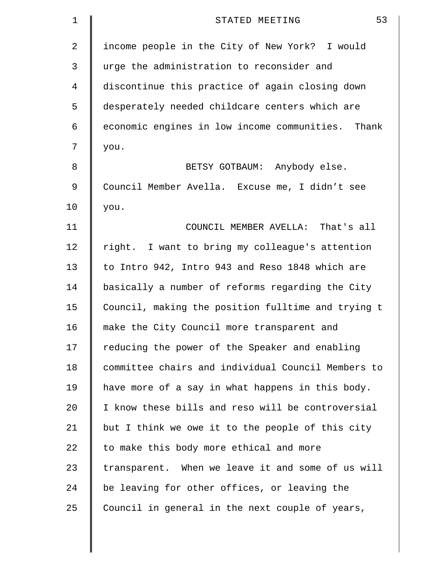| $\mathbf 1$    | 53<br>STATED MEETING                               |
|----------------|----------------------------------------------------|
| 2              | income people in the City of New York? I would     |
| 3              | urge the administration to reconsider and          |
| $\overline{4}$ | discontinue this practice of again closing down    |
| 5              | desperately needed childcare centers which are     |
| 6              | economic engines in low income communities. Thank  |
| 7              | you.                                               |
| 8              | BETSY GOTBAUM: Anybody else.                       |
| 9              | Council Member Avella. Excuse me, I didn't see     |
| 10             | you.                                               |
| 11             | COUNCIL MEMBER AVELLA: That's all                  |
| 12             | right. I want to bring my colleague's attention    |
| 13             | to Intro 942, Intro 943 and Reso 1848 which are    |
| 14             | basically a number of reforms regarding the City   |
| 15             | Council, making the position fulltime and trying t |
| 16             | make the City Council more transparent and         |
| 17             | reducing the power of the Speaker and enabling     |
| 18             | committee chairs and individual Council Members to |
| 19             | have more of a say in what happens in this body.   |
| 20             | I know these bills and reso will be controversial  |
| 21             | but I think we owe it to the people of this city   |
| 22             | to make this body more ethical and more            |
| 23             | transparent. When we leave it and some of us will  |
| 24             | be leaving for other offices, or leaving the       |
| 25             | Council in general in the next couple of years,    |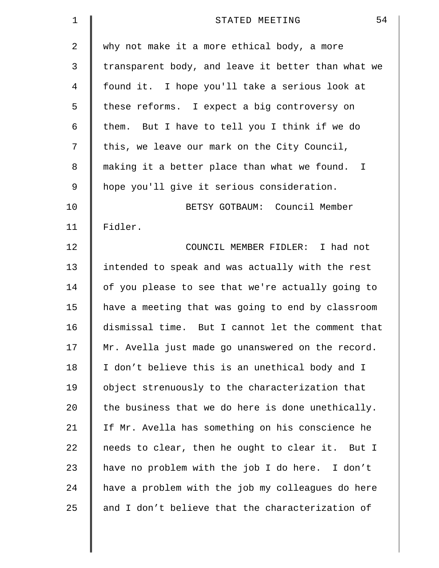| 1  | 54<br>STATED MEETING                               |
|----|----------------------------------------------------|
| 2  | why not make it a more ethical body, a more        |
| 3  | transparent body, and leave it better than what we |
| 4  | found it. I hope you'll take a serious look at     |
| 5  | these reforms. I expect a big controversy on       |
| 6  | them. But I have to tell you I think if we do      |
| 7  | this, we leave our mark on the City Council,       |
| 8  | making it a better place than what we found. I     |
| 9  | hope you'll give it serious consideration.         |
| 10 | BETSY GOTBAUM: Council Member                      |
| 11 | Fidler.                                            |
| 12 | COUNCIL MEMBER FIDLER: I had not                   |
| 13 | intended to speak and was actually with the rest   |
| 14 | of you please to see that we're actually going to  |
| 15 | have a meeting that was going to end by classroom  |
| 16 | dismissal time. But I cannot let the comment that  |
| 17 | Mr. Avella just made go unanswered on the record.  |
| 18 | I don't believe this is an unethical body and I    |
| 19 | object strenuously to the characterization that    |
| 20 | the business that we do here is done unethically.  |
| 21 | If Mr. Avella has something on his conscience he   |
| 22 | needs to clear, then he ought to clear it. But I   |
| 23 | have no problem with the job I do here. I don't    |
| 24 | have a problem with the job my colleagues do here  |
| 25 | and I don't believe that the characterization of   |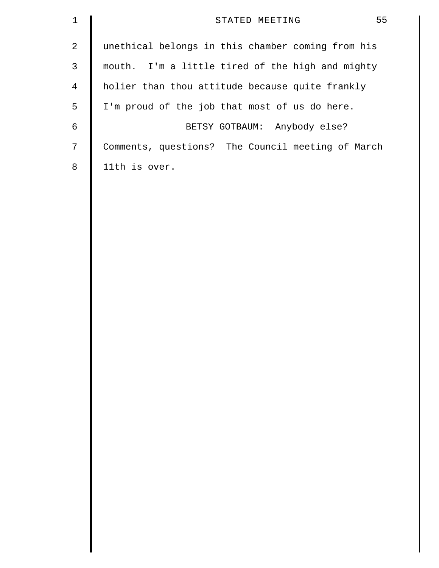| $\mathbf 1$    | 55<br>STATED MEETING                              |
|----------------|---------------------------------------------------|
| $\sqrt{2}$     | unethical belongs in this chamber coming from his |
| $\mathsf 3$    | mouth. I'm a little tired of the high and mighty  |
| $\overline{4}$ | holier than thou attitude because quite frankly   |
| 5              | I'm proud of the job that most of us do here.     |
| 6              | BETSY GOTBAUM: Anybody else?                      |
| 7              | Comments, questions? The Council meeting of March |
| 8              | 11th is over.                                     |
|                |                                                   |
|                |                                                   |
|                |                                                   |
|                |                                                   |
|                |                                                   |
|                |                                                   |
|                |                                                   |
|                |                                                   |
|                |                                                   |
|                |                                                   |
|                |                                                   |
|                |                                                   |
|                |                                                   |
|                |                                                   |
|                |                                                   |
|                |                                                   |
|                |                                                   |
|                |                                                   |
|                |                                                   |